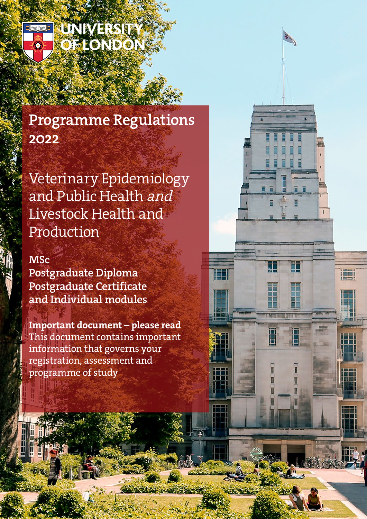

**UNIVERSIT** FLONDON

# Programme Regulations 2022

Veterinary Epidemiology and Public Health and Livestock Health and Production

노

١H

## **MSc**

Postgraduate Diploma Postgraduate Certificate and Individual modules

Important document – please read This document contains important information that governs your registration, assessment and programme of study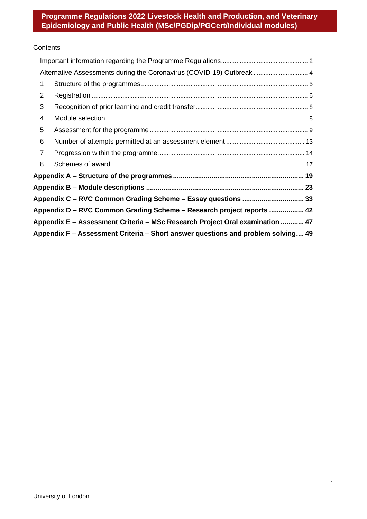## **Contents**

|                | Alternative Assessments during the Coronavirus (COVID-19) Outbreak  4            |  |
|----------------|----------------------------------------------------------------------------------|--|
| 1              |                                                                                  |  |
| $\overline{2}$ |                                                                                  |  |
| 3              |                                                                                  |  |
| 4              |                                                                                  |  |
| 5              |                                                                                  |  |
| 6              |                                                                                  |  |
| $\overline{7}$ |                                                                                  |  |
| 8              |                                                                                  |  |
|                | Appendix A – Structure of the programmes …………………………………………………………… 19              |  |
|                |                                                                                  |  |
|                | Appendix C - RVC Common Grading Scheme - Essay questions  33                     |  |
|                | Appendix D - RVC Common Grading Scheme - Research project reports  42            |  |
|                | Appendix E - Assessment Criteria - MSc Research Project Oral examination  47     |  |
|                | Appendix F - Assessment Criteria - Short answer questions and problem solving 49 |  |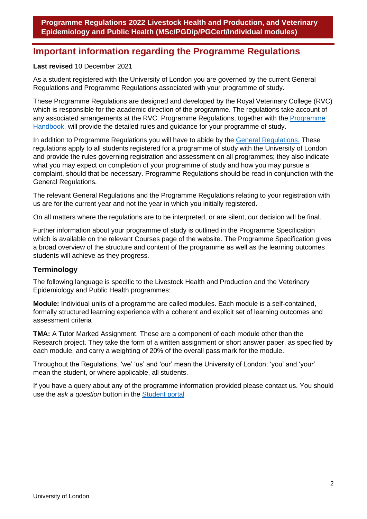## <span id="page-2-0"></span>**Important information regarding the Programme Regulations**

#### **Last revised** 10 December 2021

As a student registered with the University of London you are governed by the current General Regulations and Programme Regulations associated with your programme of study.

These Programme Regulations are designed and developed by the Royal Veterinary College (RVC) which is responsible for the academic direction of the programme. The regulations take account of any associated arrangements at the RVC. Programme Regulations, together with the [Programme](https://london.ac.uk/current-students/programme-documents)  [Handbook,](https://london.ac.uk/current-students/programme-documents) will provide the detailed rules and guidance for your programme of study.

In addition to Programme Regulations you will have to abide by the [General Regulations.](http://www.london.ac.uk/regs) These regulations apply to all students registered for a programme of study with the University of London and provide the rules governing registration and assessment on all programmes; they also indicate what you may expect on completion of your programme of study and how you may pursue a complaint, should that be necessary. Programme Regulations should be read in conjunction with the General Regulations.

The relevant General Regulations and the Programme Regulations relating to your registration with us are for the current year and not the year in which you initially registered.

On all matters where the regulations are to be interpreted, or are silent, our decision will be final.

Further information about your programme of study is outlined in the Programme Specification which is available on the relevant Courses page of the website. The Programme Specification gives a broad overview of the structure and content of the programme as well as the learning outcomes students will achieve as they progress.

#### **Terminology**

The following language is specific to the Livestock Health and Production and the Veterinary Epidemiology and Public Health programmes:

**Module:** Individual units of a programme are called modules. Each module is a self-contained, formally structured learning experience with a coherent and explicit set of learning outcomes and assessment criteria

**TMA:** A Tutor Marked Assignment. These are a component of each module other than the Research project. They take the form of a written assignment or short answer paper, as specified by each module, and carry a weighting of 20% of the overall pass mark for the module.

Throughout the Regulations, 'we' 'us' and 'our' mean the University of London; 'you' and 'your' mean the student, or where applicable, all students.

If you have a query about any of the programme information provided please contact us. You should use the *ask a question* button in the [Student portal](https://my.london.ac.uk/)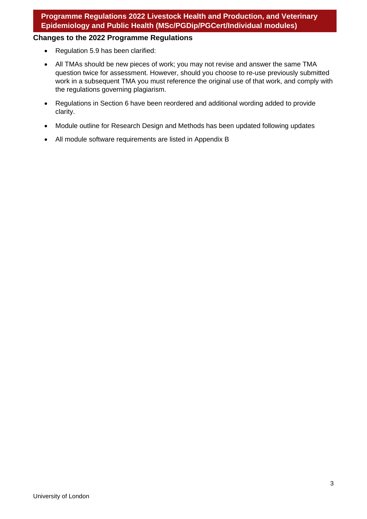### **Changes to the 2022 Programme Regulations**

- Regulation 5.9 has been clarified:
- All TMAs should be new pieces of work; you may not revise and answer the same TMA question twice for assessment. However, should you choose to re-use previously submitted work in a subsequent TMA you must reference the original use of that work, and comply with the regulations governing plagiarism.
- Regulations in Section 6 have been reordered and additional wording added to provide clarity.
- Module outline for Research Design and Methods has been updated following updates
- All module software requirements are listed in Appendix B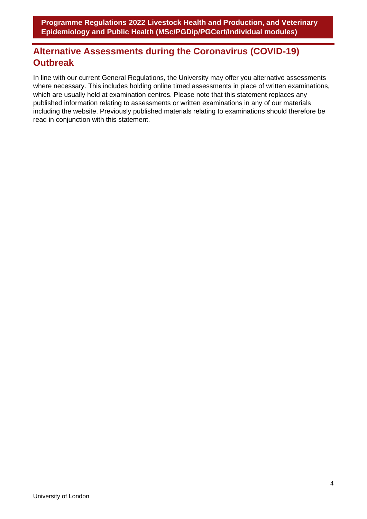## <span id="page-4-0"></span>**Alternative Assessments during the Coronavirus (COVID-19) Outbreak**

In line with our current General Regulations, the University may offer you alternative assessments where necessary. This includes holding online timed assessments in place of written examinations, which are usually held at examination centres. Please note that this statement replaces any published information relating to assessments or written examinations in any of our materials including the website. Previously published materials relating to examinations should therefore be read in conjunction with this statement.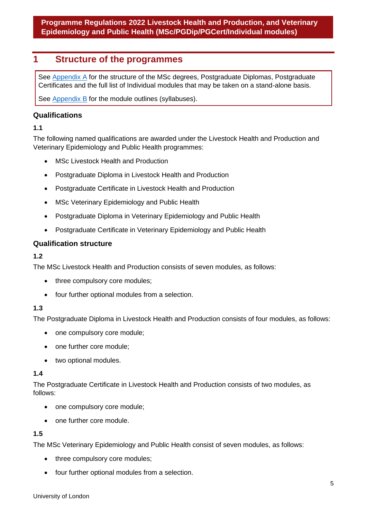## <span id="page-5-0"></span>**1 Structure of the programmes**

<span id="page-5-1"></span>See [Appendix A](#page-5-1) for the structure of the MSc degrees, Postgraduate Diplomas, Postgraduate Certificates and the full list of Individual modules that may be taken on a stand-alone basis.

See [Appendix B](#page-23-0) for the module outlines (syllabuses).

## **Qualifications**

## **1.1**

The following named qualifications are awarded under the Livestock Health and Production and Veterinary Epidemiology and Public Health programmes:

- MSc Livestock Health and Production
- Postgraduate Diploma in Livestock Health and Production
- Postgraduate Certificate in Livestock Health and Production
- MSc Veterinary Epidemiology and Public Health
- Postgraduate Diploma in Veterinary Epidemiology and Public Health
- Postgraduate Certificate in Veterinary Epidemiology and Public Health

## **Qualification structure**

### **1.2**

The MSc Livestock Health and Production consists of seven modules, as follows:

- three compulsory core modules;
- four further optional modules from a selection.

## **1.3**

The Postgraduate Diploma in Livestock Health and Production consists of four modules, as follows:

- one compulsory core module;
- one further core module;
- two optional modules.

#### **1.4**

The Postgraduate Certificate in Livestock Health and Production consists of two modules, as follows:

- one compulsory core module;
- one further core module.

#### **1.5**

The MSc Veterinary Epidemiology and Public Health consist of seven modules, as follows:

- three compulsory core modules;
- four further optional modules from a selection.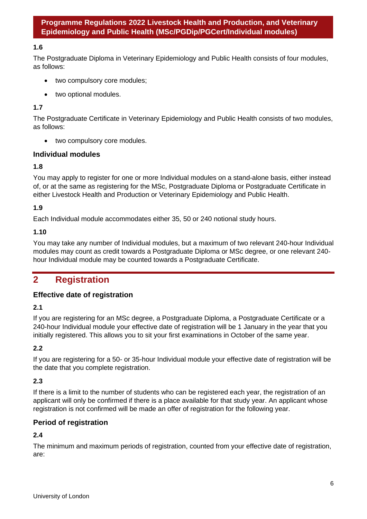#### **1.6**

The Postgraduate Diploma in Veterinary Epidemiology and Public Health consists of four modules, as follows:

- two compulsory core modules;
- two optional modules.

#### **1.7**

The Postgraduate Certificate in Veterinary Epidemiology and Public Health consists of two modules, as follows:

• two compulsory core modules.

#### **Individual modules**

#### **1.8**

You may apply to register for one or more Individual modules on a stand-alone basis, either instead of, or at the same as registering for the MSc, Postgraduate Diploma or Postgraduate Certificate in either Livestock Health and Production or Veterinary Epidemiology and Public Health.

#### **1.9**

Each Individual module accommodates either 35, 50 or 240 notional study hours.

#### **1.10**

You may take any number of Individual modules, but a maximum of two relevant 240-hour Individual modules may count as credit towards a Postgraduate Diploma or MSc degree, or one relevant 240 hour Individual module may be counted towards a Postgraduate Certificate.

## <span id="page-6-0"></span>**2 Registration**

#### **Effective date of registration**

#### **2.1**

If you are registering for an MSc degree, a Postgraduate Diploma, a Postgraduate Certificate or a 240-hour Individual module your effective date of registration will be 1 January in the year that you initially registered. This allows you to sit your first examinations in October of the same year.

#### **2.2**

If you are registering for a 50- or 35-hour Individual module your effective date of registration will be the date that you complete registration.

#### **2.3**

If there is a limit to the number of students who can be registered each year, the registration of an applicant will only be confirmed if there is a place available for that study year. An applicant whose registration is not confirmed will be made an offer of registration for the following year.

#### **Period of registration**

#### **2.4**

The minimum and maximum periods of registration, counted from your effective date of registration, are: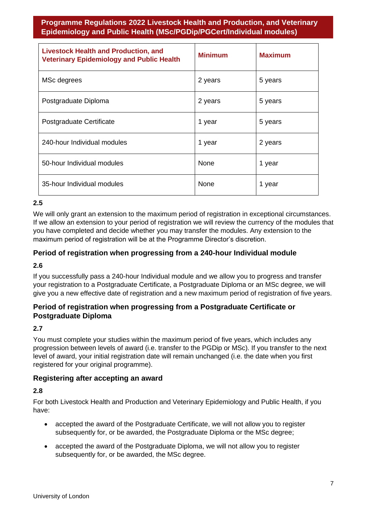| <b>Livestock Health and Production, and</b><br><b>Veterinary Epidemiology and Public Health</b> | <b>Minimum</b> | <b>Maximum</b> |
|-------------------------------------------------------------------------------------------------|----------------|----------------|
| MSc degrees                                                                                     | 2 years        | 5 years        |
| Postgraduate Diploma                                                                            | 2 years        | 5 years        |
| Postgraduate Certificate                                                                        | 1 year         | 5 years        |
| 240-hour Individual modules                                                                     | 1 year         | 2 years        |
| 50-hour Individual modules                                                                      | <b>None</b>    | 1 year         |
| 35-hour Individual modules                                                                      | None           | 1 year         |

## **2.5**

We will only grant an extension to the maximum period of registration in exceptional circumstances. If we allow an extension to your period of registration we will review the currency of the modules that you have completed and decide whether you may transfer the modules. Any extension to the maximum period of registration will be at the Programme Director's discretion.

## **Period of registration when progressing from a 240-hour Individual module**

#### **2.6**

If you successfully pass a 240-hour Individual module and we allow you to progress and transfer your registration to a Postgraduate Certificate, a Postgraduate Diploma or an MSc degree, we will give you a new effective date of registration and a new maximum period of registration of five years.

## **Period of registration when progressing from a Postgraduate Certificate or Postgraduate Diploma**

#### **2.7**

You must complete your studies within the maximum period of five years, which includes any progression between levels of award (i.e. transfer to the PGDip or MSc). If you transfer to the next level of award, your initial registration date will remain unchanged (i.e. the date when you first registered for your original programme).

#### **Registering after accepting an award**

#### **2.8**

For both Livestock Health and Production and Veterinary Epidemiology and Public Health, if you have:

- accepted the award of the Postgraduate Certificate, we will not allow you to register subsequently for, or be awarded, the Postgraduate Diploma or the MSc degree;
- accepted the award of the Postgraduate Diploma, we will not allow you to register subsequently for, or be awarded, the MSc degree.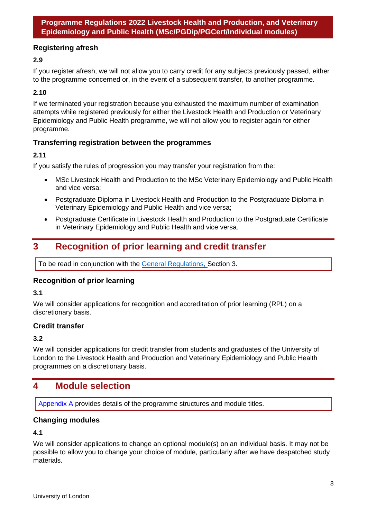## **Registering afresh**

## **2.9**

If you register afresh, we will not allow you to carry credit for any subjects previously passed, either to the programme concerned or, in the event of a subsequent transfer, to another programme.

## **2.10**

If we terminated your registration because you exhausted the maximum number of examination attempts while registered previously for either the Livestock Health and Production or Veterinary Epidemiology and Public Health programme, we will not allow you to register again for either programme.

## **Transferring registration between the programmes**

## **2.11**

If you satisfy the rules of progression you may transfer your registration from the:

- MSc Livestock Health and Production to the MSc Veterinary Epidemiology and Public Health and vice versa;
- Postgraduate Diploma in Livestock Health and Production to the Postgraduate Diploma in Veterinary Epidemiology and Public Health and vice versa;
- Postgraduate Certificate in Livestock Health and Production to the Postgraduate Certificate in Veterinary Epidemiology and Public Health and vice versa.

## <span id="page-8-0"></span>**3 Recognition of prior learning and credit transfer**

To be read in conjunction with the [General Regulations, S](https://london.ac.uk/regs)ection 3.

## **Recognition of prior learning**

#### **3.1**

We will consider applications for recognition and accreditation of prior learning (RPL) on a discretionary basis.

#### **Credit transfer**

## **3.2**

We will consider applications for credit transfer from students and graduates of the University of London to the Livestock Health and Production and Veterinary Epidemiology and Public Health programmes on a discretionary basis.

## <span id="page-8-1"></span>**4 Module selection**

[Appendix A](#page-5-1) provides details of the programme structures and module titles.

## **Changing modules**

#### **4.1**

We will consider applications to change an optional module(s) on an individual basis. It may not be possible to allow you to change your choice of module, particularly after we have despatched study materials.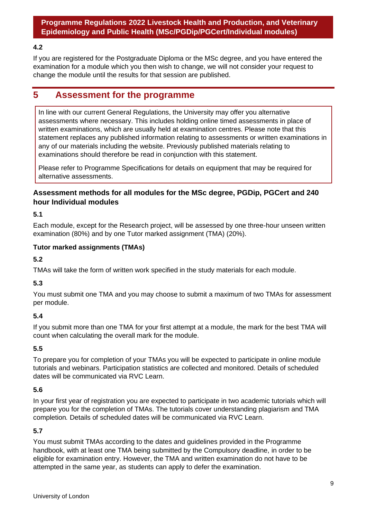#### **4.2**

If you are registered for the Postgraduate Diploma or the MSc degree, and you have entered the examination for a module which you then wish to change, we will not consider your request to change the module until the results for that session are published.

## <span id="page-9-0"></span>**5 Assessment for the programme**

In line with our current General Regulations, the University may offer you alternative assessments where necessary. This includes holding online timed assessments in place of written examinations, which are usually held at examination centres. Please note that this statement replaces any published information relating to assessments or written examinations in any of our materials including the website. Previously published materials relating to examinations should therefore be read in conjunction with this statement.

Please refer to Programme Specifications for details on equipment that may be required for alternative assessments.

## **Assessment methods for all modules for the MSc degree, PGDip, PGCert and 240 hour Individual modules**

**5.1**

Each module, except for the Research project, will be assessed by one three-hour unseen written examination (80%) and by one Tutor marked assignment (TMA) (20%).

#### **Tutor marked assignments (TMAs)**

**5.2**

TMAs will take the form of written work specified in the study materials for each module.

#### **5.3**

You must submit one TMA and you may choose to submit a maximum of two TMAs for assessment per module.

#### **5.4**

If you submit more than one TMA for your first attempt at a module, the mark for the best TMA will count when calculating the overall mark for the module.

#### **5.5**

To prepare you for completion of your TMAs you will be expected to participate in online module tutorials and webinars. Participation statistics are collected and monitored. Details of scheduled dates will be communicated via RVC Learn.

#### **5.6**

In your first year of registration you are expected to participate in two academic tutorials which will prepare you for the completion of TMAs. The tutorials cover understanding plagiarism and TMA completion*.* Details of scheduled dates will be communicated via RVC Learn.

#### **5.7**

You must submit TMAs according to the dates and guidelines provided in the Programme handbook, with at least one TMA being submitted by the Compulsory deadline, in order to be eligible for examination entry. However, the TMA and written examination do not have to be attempted in the same year, as students can apply to defer the examination.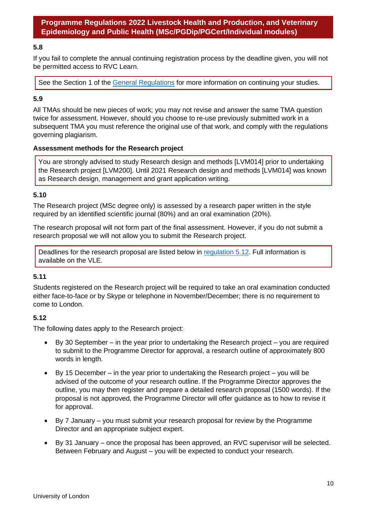#### **5.8**

If you fail to complete the annual continuing registration process by the deadline given, you will not be permitted access to RVC Learn.

See the Section 1 of the [General Regulations](https://london.ac.uk/current-students/programme-documents/regulations) for more information on continuing your studies.

#### **5.9**

All TMAs should be new pieces of work; you may not revise and answer the same TMA question twice for assessment. However, should you choose to re-use previously submitted work in a subsequent TMA you must reference the original use of that work, and comply with the regulations governing plagiarism.

#### **Assessment methods for the Research project**

You are strongly advised to study Research design and methods [LVM014] prior to undertaking the Research project [LVM200]. Until 2021 Research design and methods [LVM014] was known as Research design, management and grant application writing.

#### **5.10**

The Research project (MSc degree only) is assessed by a research paper written in the style required by an identified scientific journal (80%) and an oral examination (20%).

The research proposal will not form part of the final assessment. However, if you do not submit a research proposal we will not allow you to submit the Research project.

Deadlines for the research proposal are listed below in [regulation 5.12.](#page-10-0) Full information is available on the VLE.

#### **5.11**

Students registered on the Research project will be required to take an oral examination conducted either face-to-face or by Skype or telephone in November/December; there is no requirement to come to London.

#### <span id="page-10-0"></span>**5.12**

The following dates apply to the Research project:

- By 30 September in the year prior to undertaking the Research project you are required to submit to the Programme Director for approval, a research outline of approximately 800 words in length.
- By 15 December in the year prior to undertaking the Research project you will be advised of the outcome of your research outline. If the Programme Director approves the outline, you may then register and prepare a detailed research proposal (1500 words). If the proposal is not approved, the Programme Director will offer guidance as to how to revise it for approval.
- By 7 January you must submit your research proposal for review by the Programme Director and an appropriate subject expert.
- By 31 January once the proposal has been approved, an RVC supervisor will be selected. Between February and August – you will be expected to conduct your research.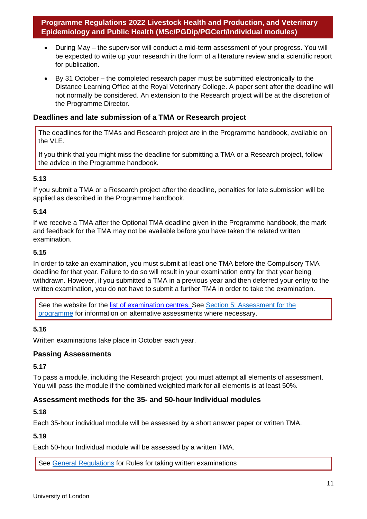- During May the supervisor will conduct a mid-term assessment of your progress. You will be expected to write up your research in the form of a literature review and a scientific report for publication.
- By 31 October the completed research paper must be submitted electronically to the Distance Learning Office at the Royal Veterinary College. A paper sent after the deadline will not normally be considered. An extension to the Research project will be at the discretion of the Programme Director.

### **Deadlines and late submission of a TMA or Research project**

The deadlines for the TMAs and Research project are in the Programme handbook, available on the VLE.

If you think that you might miss the deadline for submitting a TMA or a Research project, follow the advice in the Programme handbook.

#### **5.13**

If you submit a TMA or a Research project after the deadline, penalties for late submission will be applied as described in the Programme handbook.

## **5.14**

If we receive a TMA after the Optional TMA deadline given in the Programme handbook, the mark and feedback for the TMA may not be available before you have taken the related written examination.

#### **5.15**

In order to take an examination, you must submit at least one TMA before the Compulsory TMA deadline for that year. Failure to do so will result in your examination entry for that year being withdrawn. However, if you submitted a TMA in a previous year and then deferred your entry to the written examination, you do not have to submit a further TMA in order to take the examination.

See the website for the list of examination centres. See Section 5: Assessment for the [programme](#page-9-0) for information on alternative assessments where necessary.

#### **5.16**

Written examinations take place in October each year.

#### **Passing Assessments**

#### **5.17**

To pass a module, including the Research project, you must attempt all elements of assessment. You will pass the module if the combined weighted mark for all elements is at least 50%.

#### **Assessment methods for the 35- and 50-hour Individual modules**

## **5.18**

Each 35-hour individual module will be assessed by a short answer paper or written TMA.

#### **5.19**

Each 50-hour Individual module will be assessed by a written TMA.

See [General Regulations](https://london.ac.uk/regs) for Rules for taking written examinations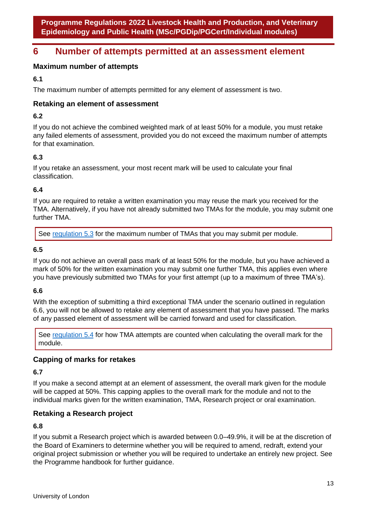## **6 Number of attempts permitted at an assessment element**

## **Maximum number of attempts**

**6.1**

The maximum number of attempts permitted for any element of assessment is two.

## **Retaking an element of assessment**

## **6.2**

If you do not achieve the combined weighted mark of at least 50% for a module, you must retake any failed elements of assessment, provided you do not exceed the maximum number of attempts for that examination.

## **6.3**

If you retake an assessment, your most recent mark will be used to calculate your final classification.

## **6.4**

If you are required to retake a written examination you may reuse the mark you received for the TMA. Alternatively, if you have not already submitted two TMAs for the module, you may submit one further TMA.

See [regulation 5.3](#page-9-0) for the maximum number of TMAs that you may submit per module.

## **6.5**

If you do not achieve an overall pass mark of at least 50% for the module, but you have achieved a mark of 50% for the written examination you may submit one further TMA, this applies even where you have previously submitted two TMAs for your first attempt (up to a maximum of three TMA's).

## **6.6**

With the exception of submitting a third exceptional TMA under the scenario outlined in regulation 6.6, you will not be allowed to retake any element of assessment that you have passed. The marks of any passed element of assessment will be carried forward and used for classification.

See [regulation 5.4](#page-9-0) for how TMA attempts are counted when calculating the overall mark for the module.

## **Capping of marks for retakes**

#### **6.7**

If you make a second attempt at an element of assessment, the overall mark given for the module will be capped at 50%. This capping applies to the overall mark for the module and not to the individual marks given for the written examination, TMA, Research project or oral examination.

## **Retaking a Research project**

#### **6.8**

If you submit a Research project which is awarded between 0.0–49.9%, it will be at the discretion of the Board of Examiners to determine whether you will be required to amend, redraft, extend your original project submission or whether you will be required to undertake an entirely new project. See the Programme handbook for further guidance.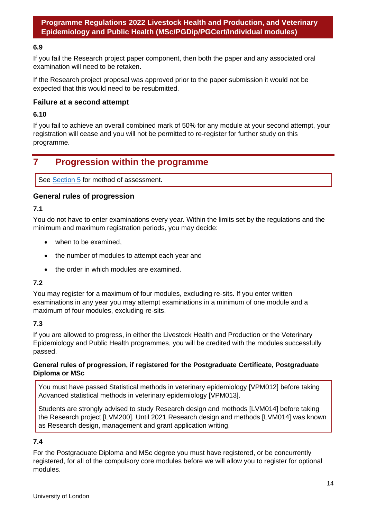#### **6.9**

If you fail the Research project paper component, then both the paper and any associated oral examination will need to be retaken.

If the Research project proposal was approved prior to the paper submission it would not be expected that this would need to be resubmitted.

#### **Failure at a second attempt**

#### **6.10**

If you fail to achieve an overall combined mark of 50% for any module at your second attempt, your registration will cease and you will not be permitted to re-register for further study on this programme.

## <span id="page-14-0"></span>**7 Progression within the programme**

See [Section 5](#page-9-0) for method of assessment.

#### **General rules of progression**

#### **7.1**

You do not have to enter examinations every year. Within the limits set by the regulations and the minimum and maximum registration periods, you may decide:

- when to be examined,
- the number of modules to attempt each year and
- the order in which modules are examined.

#### **7.2**

You may register for a maximum of four modules, excluding re-sits. If you enter written examinations in any year you may attempt examinations in a minimum of one module and a maximum of four modules, excluding re-sits.

#### **7.3**

If you are allowed to progress, in either the Livestock Health and Production or the Veterinary Epidemiology and Public Health programmes, you will be credited with the modules successfully passed.

#### **General rules of progression, if registered for the Postgraduate Certificate, Postgraduate Diploma or MSc**

You must have passed Statistical methods in veterinary epidemiology [VPM012] before taking Advanced statistical methods in veterinary epidemiology [VPM013].

Students are strongly advised to study Research design and methods [LVM014] before taking the Research project [LVM200]. Until 2021 Research design and methods [LVM014] was known as Research design, management and grant application writing.

#### **7.4**

For the Postgraduate Diploma and MSc degree you must have registered, or be concurrently registered, for all of the compulsory core modules before we will allow you to register for optional modules.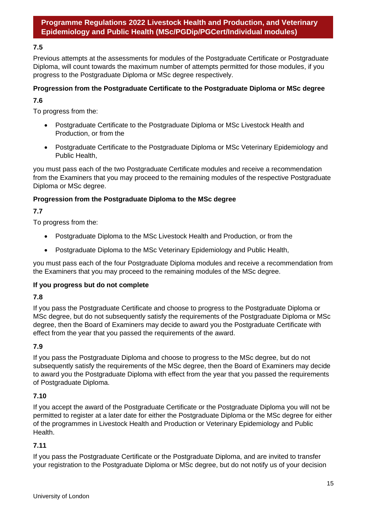### **7.5**

Previous attempts at the assessments for modules of the Postgraduate Certificate or Postgraduate Diploma, will count towards the maximum number of attempts permitted for those modules, if you progress to the Postgraduate Diploma or MSc degree respectively.

#### **Progression from the Postgraduate Certificate to the Postgraduate Diploma or MSc degree**

### **7.6**

To progress from the:

- Postgraduate Certificate to the Postgraduate Diploma or MSc Livestock Health and Production, or from the
- Postgraduate Certificate to the Postgraduate Diploma or MSc Veterinary Epidemiology and Public Health,

you must pass each of the two Postgraduate Certificate modules and receive a recommendation from the Examiners that you may proceed to the remaining modules of the respective Postgraduate Diploma or MSc degree.

#### **Progression from the Postgraduate Diploma to the MSc degree**

## **7.7**

To progress from the:

- Postgraduate Diploma to the MSc Livestock Health and Production, or from the
- Postgraduate Diploma to the MSc Veterinary Epidemiology and Public Health,

you must pass each of the four Postgraduate Diploma modules and receive a recommendation from the Examiners that you may proceed to the remaining modules of the MSc degree.

#### **If you progress but do not complete**

#### **7.8**

If you pass the Postgraduate Certificate and choose to progress to the Postgraduate Diploma or MSc degree, but do not subsequently satisfy the requirements of the Postgraduate Diploma or MSc degree, then the Board of Examiners may decide to award you the Postgraduate Certificate with effect from the year that you passed the requirements of the award.

#### **7.9**

If you pass the Postgraduate Diploma and choose to progress to the MSc degree, but do not subsequently satisfy the requirements of the MSc degree, then the Board of Examiners may decide to award you the Postgraduate Diploma with effect from the year that you passed the requirements of Postgraduate Diploma.

#### **7.10**

If you accept the award of the Postgraduate Certificate or the Postgraduate Diploma you will not be permitted to register at a later date for either the Postgraduate Diploma or the MSc degree for either of the programmes in Livestock Health and Production or Veterinary Epidemiology and Public Health.

#### **7.11**

If you pass the Postgraduate Certificate or the Postgraduate Diploma, and are invited to transfer your registration to the Postgraduate Diploma or MSc degree, but do not notify us of your decision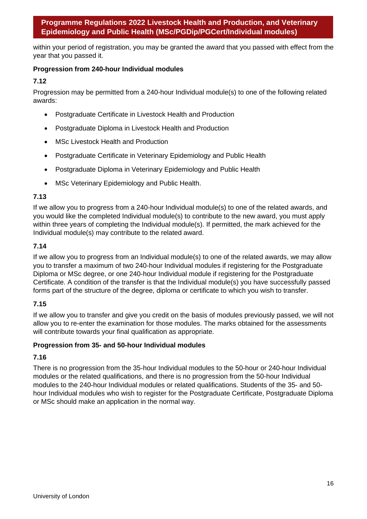within your period of registration, you may be granted the award that you passed with effect from the year that you passed it.

## **Progression from 240-hour Individual modules**

## **7.12**

Progression may be permitted from a 240-hour Individual module(s) to one of the following related awards:

- Postgraduate Certificate in Livestock Health and Production
- Postgraduate Diploma in Livestock Health and Production
- MSc Livestock Health and Production
- Postgraduate Certificate in Veterinary Epidemiology and Public Health
- Postgraduate Diploma in Veterinary Epidemiology and Public Health
- MSc Veterinary Epidemiology and Public Health.

#### **7.13**

If we allow you to progress from a 240-hour Individual module(s) to one of the related awards, and you would like the completed Individual module(s) to contribute to the new award, you must apply within three years of completing the Individual module(s). If permitted, the mark achieved for the Individual module(s) may contribute to the related award.

## **7.14**

If we allow you to progress from an Individual module(s) to one of the related awards, we may allow you to transfer a maximum of two 240-hour Individual modules if registering for the Postgraduate Diploma or MSc degree, or one 240-hour Individual module if registering for the Postgraduate Certificate. A condition of the transfer is that the Individual module(s) you have successfully passed forms part of the structure of the degree, diploma or certificate to which you wish to transfer.

## **7.15**

If we allow you to transfer and give you credit on the basis of modules previously passed, we will not allow you to re-enter the examination for those modules. The marks obtained for the assessments will contribute towards your final qualification as appropriate.

#### **Progression from 35- and 50-hour Individual modules**

## **7.16**

<span id="page-16-0"></span>There is no progression from the 35-hour Individual modules to the 50-hour or 240-hour Individual modules or the related qualifications, and there is no progression from the 50-hour Individual modules to the 240-hour Individual modules or related qualifications. Students of the 35- and 50 hour Individual modules who wish to register for the Postgraduate Certificate, Postgraduate Diploma or MSc should make an application in the normal way.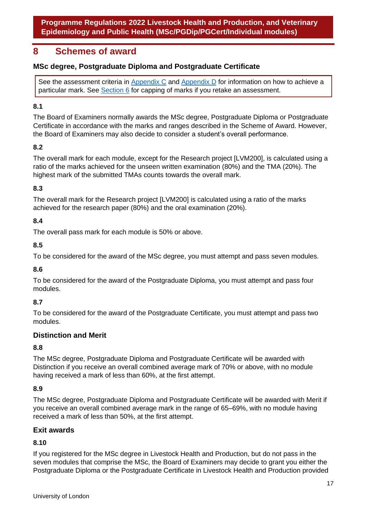## **8 Schemes of award**

## **MSc degree, Postgraduate Diploma and Postgraduate Certificate**

See the assessment criteria in [Appendix C](#page-33-0) and [Appendix D](#page-42-0) for information on how to achieve a particular mark. See [Section 6](#page-12-0) for capping of marks if you retake an assessment.

## **8.1**

The Board of Examiners normally awards the MSc degree, Postgraduate Diploma or Postgraduate Certificate in accordance with the marks and ranges described in the Scheme of Award. However, the Board of Examiners may also decide to consider a student's overall performance.

#### **8.2**

The overall mark for each module, except for the Research project [LVM200], is calculated using a ratio of the marks achieved for the unseen written examination (80%) and the TMA (20%). The highest mark of the submitted TMAs counts towards the overall mark.

#### **8.3**

The overall mark for the Research project [LVM200] is calculated using a ratio of the marks achieved for the research paper (80%) and the oral examination (20%).

#### **8.4**

The overall pass mark for each module is 50% or above.

#### **8.5**

To be considered for the award of the MSc degree, you must attempt and pass seven modules.

#### **8.6**

To be considered for the award of the Postgraduate Diploma, you must attempt and pass four modules.

#### **8.7**

To be considered for the award of the Postgraduate Certificate, you must attempt and pass two modules.

#### **Distinction and Merit**

#### **8.8**

The MSc degree, Postgraduate Diploma and Postgraduate Certificate will be awarded with Distinction if you receive an overall combined average mark of 70% or above, with no module having received a mark of less than 60%, at the first attempt.

#### **8.9**

The MSc degree, Postgraduate Diploma and Postgraduate Certificate will be awarded with Merit if you receive an overall combined average mark in the range of 65–69%, with no module having received a mark of less than 50%, at the first attempt.

#### **Exit awards**

#### **8.10**

If you registered for the MSc degree in Livestock Health and Production, but do not pass in the seven modules that comprise the MSc, the Board of Examiners may decide to grant you either the Postgraduate Diploma or the Postgraduate Certificate in Livestock Health and Production provided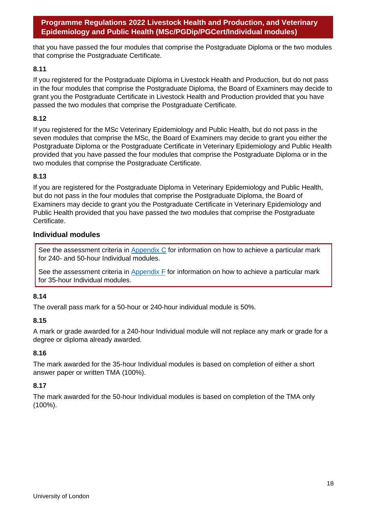that you have passed the four modules that comprise the Postgraduate Diploma or the two modules that comprise the Postgraduate Certificate.

#### **8.11**

If you registered for the Postgraduate Diploma in Livestock Health and Production, but do not pass in the four modules that comprise the Postgraduate Diploma, the Board of Examiners may decide to grant you the Postgraduate Certificate in Livestock Health and Production provided that you have passed the two modules that comprise the Postgraduate Certificate.

#### **8.12**

If you registered for the MSc Veterinary Epidemiology and Public Health, but do not pass in the seven modules that comprise the MSc, the Board of Examiners may decide to grant you either the Postgraduate Diploma or the Postgraduate Certificate in Veterinary Epidemiology and Public Health provided that you have passed the four modules that comprise the Postgraduate Diploma or in the two modules that comprise the Postgraduate Certificate.

#### **8.13**

If you are registered for the Postgraduate Diploma in Veterinary Epidemiology and Public Health, but do not pass in the four modules that comprise the Postgraduate Diploma, the Board of Examiners may decide to grant you the Postgraduate Certificate in Veterinary Epidemiology and Public Health provided that you have passed the two modules that comprise the Postgraduate Certificate.

#### **Individual modules**

See the assessment criteria in [Appendix C](#page-33-0) for information on how to achieve a particular mark for 240- and 50-hour Individual modules.

See the assessment criteria in  $\Delta$ ppendix  $F$  for information on how to achieve a particular mark for 35-hour Individual modules.

#### **8.14**

The overall pass mark for a 50-hour or 240-hour individual module is 50%.

#### **8.15**

A mark or grade awarded for a 240-hour Individual module will not replace any mark or grade for a degree or diploma already awarded.

#### **8.16**

The mark awarded for the 35-hour Individual modules is based on completion of either a short answer paper or written TMA (100%).

#### **8.17**

The mark awarded for the 50-hour Individual modules is based on completion of the TMA only (100%).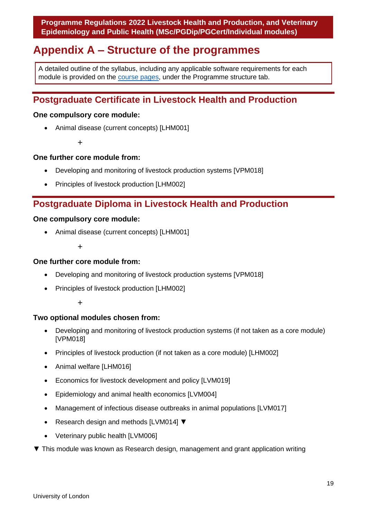## <span id="page-19-0"></span>**Appendix A – Structure of the programmes**

A detailed outline of the syllabus, including any applicable software requirements for each module is provided on the [course pages,](https://london.ac.uk/courses/member_institution/282) under the Programme structure tab.

## **Postgraduate Certificate in Livestock Health and Production**

#### **One compulsory core module:**

• Animal disease (current concepts) [LHM001]

+

#### **One further core module from:**

- Developing and monitoring of livestock production systems [VPM018]
- Principles of livestock production [LHM002]

## **Postgraduate Diploma in Livestock Health and Production**

#### **One compulsory core module:**

• Animal disease (current concepts) [LHM001]

+

#### **One further core module from:**

- Developing and monitoring of livestock production systems [VPM018]
- Principles of livestock production [LHM002]

+

#### **Two optional modules chosen from:**

- Developing and monitoring of livestock production systems (if not taken as a core module) [VPM018]
- Principles of livestock production (if not taken as a core module) [LHM002]
- Animal welfare [LHM016]
- Economics for livestock development and policy [LVM019]
- Epidemiology and animal health economics [LVM004]
- Management of infectious disease outbreaks in animal populations [LVM017]
- Research design and methods [LVM014] ▼
- Veterinary public health [LVM006]
- ▼ This module was known as Research design, management and grant application writing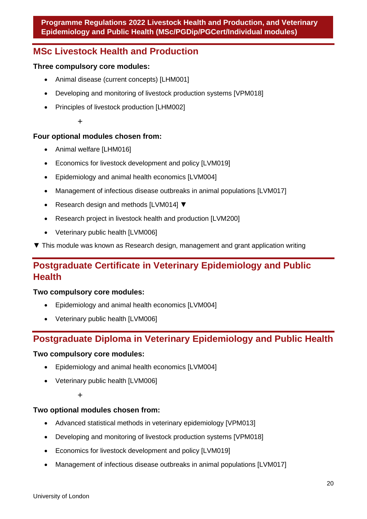## **MSc Livestock Health and Production**

## **Three compulsory core modules:**

- Animal disease (current concepts) [LHM001]
- Developing and monitoring of livestock production systems [VPM018]
- Principles of livestock production [LHM002]

#### +

## **Four optional modules chosen from:**

- Animal welfare [LHM016]
- Economics for livestock development and policy [LVM019]
- Epidemiology and animal health economics [LVM004]
- Management of infectious disease outbreaks in animal populations [LVM017]
- Research design and methods [LVM014] ▼
- Research project in livestock health and production [LVM200]
- Veterinary public health [LVM006]
- ▼ This module was known as Research design, management and grant application writing

## **Postgraduate Certificate in Veterinary Epidemiology and Public Health**

#### **Two compulsory core modules:**

- Epidemiology and animal health economics [LVM004]
- Veterinary public health [LVM006]

## **Postgraduate Diploma in Veterinary Epidemiology and Public Health**

#### **Two compulsory core modules:**

- Epidemiology and animal health economics [LVM004]
- Veterinary public health [LVM006]

#### +

## **Two optional modules chosen from:**

- Advanced statistical methods in veterinary epidemiology [VPM013]
- Developing and monitoring of livestock production systems [VPM018]
- Economics for livestock development and policy [LVM019]
- Management of infectious disease outbreaks in animal populations [LVM017]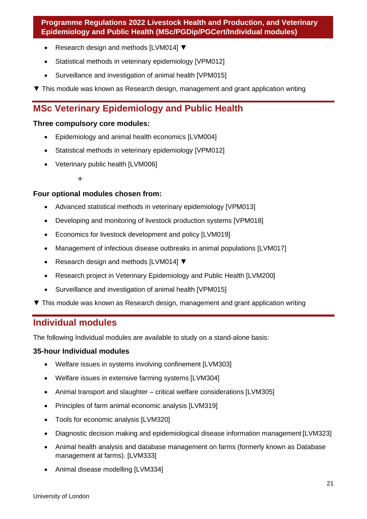- Research design and methods [LVM014] ▼
- Statistical methods in veterinary epidemiology [VPM012]
- Surveillance and investigation of animal health [VPM015]
- ▼ This module was known as Research design, management and grant application writing

## **MSc Veterinary Epidemiology and Public Health**

## **Three compulsory core modules:**

- Epidemiology and animal health economics [LVM004]
- Statistical methods in veterinary epidemiology [VPM012]
- Veterinary public health [LVM006]
	- +

## **Four optional modules chosen from:**

- Advanced statistical methods in veterinary epidemiology [VPM013]
- Developing and monitoring of livestock production systems [VPM018]
- Economics for livestock development and policy [LVM019]
- Management of infectious disease outbreaks in animal populations [LVM017]
- Research design and methods [LVM014] ▼
- Research project in Veterinary Epidemiology and Public Health [LVM200]
- Surveillance and investigation of animal health [VPM015]
- ▼ This module was known as Research design, management and grant application writing

## **Individual modules**

The following Individual modules are available to study on a stand-alone basis:

## **35-hour Individual modules**

- Welfare issues in systems involving confinement [LVM303]
- Welfare issues in extensive farming systems [LVM304]
- Animal transport and slaughter critical welfare considerations [LVM305]
- Principles of farm animal economic analysis [LVM319]
- Tools for economic analysis [LVM320]
- Diagnostic decision making and epidemiological disease information management [LVM323]
- Animal health analysis and database management on farms (formerly known as Database management at farms). [LVM333]
- Animal disease modelling [LVM334]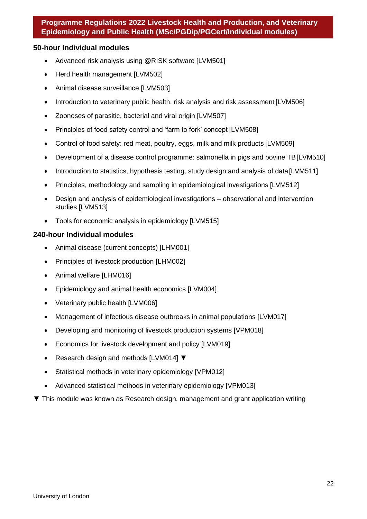#### **50-hour Individual modules**

- Advanced risk analysis using @RISK software ILVM5011
- Herd health management [LVM502]
- Animal disease surveillance [LVM503]
- Introduction to veterinary public health, risk analysis and risk assessment [LVM506]
- Zoonoses of parasitic, bacterial and viral origin [LVM507]
- Principles of food safety control and 'farm to fork' concept [LVM508]
- Control of food safety: red meat, poultry, eggs, milk and milk products [LVM509]
- Development of a disease control programme: salmonella in pigs and bovine TB[LVM510]
- Introduction to statistics, hypothesis testing, study design and analysis of data [LVM511]
- Principles, methodology and sampling in epidemiological investigations [LVM512]
- Design and analysis of epidemiological investigations observational and intervention studies [LVM513]
- Tools for economic analysis in epidemiology [LVM515]

#### **240-hour Individual modules**

- Animal disease (current concepts) [LHM001]
- Principles of livestock production [LHM002]
- Animal welfare [LHM016]
- Epidemiology and animal health economics [LVM004]
- Veterinary public health [LVM006]
- Management of infectious disease outbreaks in animal populations [LVM017]
- Developing and monitoring of livestock production systems [VPM018]
- Economics for livestock development and policy [LVM019]
- Research design and methods [LVM014] ▼
- Statistical methods in veterinary epidemiology [VPM012]
- Advanced statistical methods in veterinary epidemiology [VPM013]
- ▼ This module was known as Research design, management and grant application writing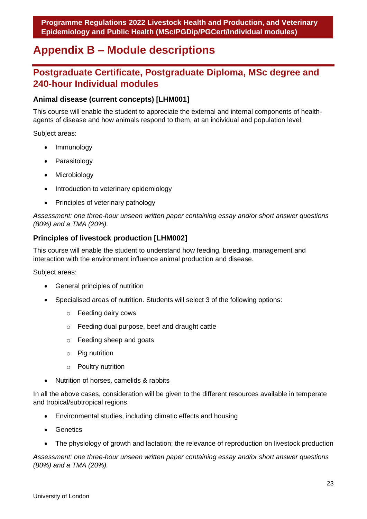## <span id="page-23-0"></span>**Appendix B – Module descriptions**

## **Postgraduate Certificate, Postgraduate Diploma, MSc degree and 240-hour Individual modules**

## **Animal disease (current concepts) [LHM001]**

This course will enable the student to appreciate the external and internal components of healthagents of disease and how animals respond to them, at an individual and population level.

Subject areas:

- Immunology
- **Parasitology**
- Microbiology
- Introduction to veterinary epidemiology
- Principles of veterinary pathology

*Assessment: one three-hour unseen written paper containing essay and/or short answer questions (80%) and a TMA (20%).*

## **Principles of livestock production [LHM002]**

This course will enable the student to understand how feeding, breeding, management and interaction with the environment influence animal production and disease.

Subject areas:

- General principles of nutrition
- Specialised areas of nutrition. Students will select 3 of the following options:
	- o Feeding dairy cows
	- o Feeding dual purpose, beef and draught cattle
	- o Feeding sheep and goats
	- o Pig nutrition
	- o Poultry nutrition
- Nutrition of horses, camelids & rabbits

In all the above cases, consideration will be given to the different resources available in temperate and tropical/subtropical regions.

- Environmental studies, including climatic effects and housing
- Genetics
- The physiology of growth and lactation; the relevance of reproduction on livestock production

*Assessment: one three-hour unseen written paper containing essay and/or short answer questions (80%) and a TMA (20%).*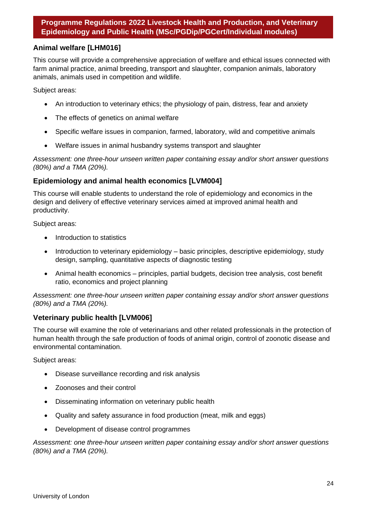## **Animal welfare [LHM016]**

This course will provide a comprehensive appreciation of welfare and ethical issues connected with farm animal practice, animal breeding, transport and slaughter, companion animals, laboratory animals, animals used in competition and wildlife.

Subject areas:

- An introduction to veterinary ethics; the physiology of pain, distress, fear and anxiety
- The effects of genetics on animal welfare
- Specific welfare issues in companion, farmed, laboratory, wild and competitive animals
- Welfare issues in animal husbandry systems transport and slaughter

*Assessment: one three-hour unseen written paper containing essay and/or short answer questions (80%) and a TMA (20%).*

#### **Epidemiology and animal health economics [LVM004]**

This course will enable students to understand the role of epidemiology and economics in the design and delivery of effective veterinary services aimed at improved animal health and productivity.

Subject areas:

- Introduction to statistics
- Introduction to veterinary epidemiology basic principles, descriptive epidemiology, study design, sampling, quantitative aspects of diagnostic testing
- Animal health economics principles, partial budgets, decision tree analysis, cost benefit ratio, economics and project planning

*Assessment: one three-hour unseen written paper containing essay and/or short answer questions (80%) and a TMA (20%).*

#### **Veterinary public health [LVM006]**

The course will examine the role of veterinarians and other related professionals in the protection of human health through the safe production of foods of animal origin, control of zoonotic disease and environmental contamination.

Subject areas:

- Disease surveillance recording and risk analysis
- Zoonoses and their control
- Disseminating information on veterinary public health
- Quality and safety assurance in food production (meat, milk and eggs)
- Development of disease control programmes

*Assessment: one three-hour unseen written paper containing essay and/or short answer questions (80%) and a TMA (20%).*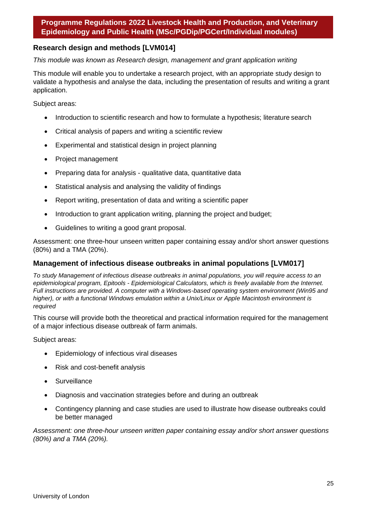#### **Research design and methods [LVM014]**

*This module was known as Research design, management and grant application writing*

This module will enable you to undertake a research project, with an appropriate study design to validate a hypothesis and analyse the data, including the presentation of results and writing a grant application.

Subject areas:

- Introduction to scientific research and how to formulate a hypothesis; literature search
- Critical analysis of papers and writing a scientific review
- Experimental and statistical design in project planning
- Project management
- Preparing data for analysis qualitative data, quantitative data
- Statistical analysis and analysing the validity of findings
- Report writing, presentation of data and writing a scientific paper
- Introduction to grant application writing, planning the project and budget;
- Guidelines to writing a good grant proposal.

Assessment: one three-hour unseen written paper containing essay and/or short answer questions (80%) and a TMA (20%).

#### **Management of infectious disease outbreaks in animal populations [LVM017]**

*To study Management of infectious disease outbreaks in animal populations, you will require access to an epidemiological program, Epitools - Epidemiological Calculators, which is freely available from the Internet. Full instructions are provided. A computer with a Windows-based operating system environment (Win95 and higher), or with a functional Windows emulation within a Unix/Linux or Apple Macintosh environment is required*

This course will provide both the theoretical and practical information required for the management of a major infectious disease outbreak of farm animals.

Subject areas:

- Epidemiology of infectious viral diseases
- Risk and cost-benefit analysis
- Surveillance
- Diagnosis and vaccination strategies before and during an outbreak
- Contingency planning and case studies are used to illustrate how disease outbreaks could be better managed

*Assessment: one three-hour unseen written paper containing essay and/or short answer questions (80%) and a TMA (20%).*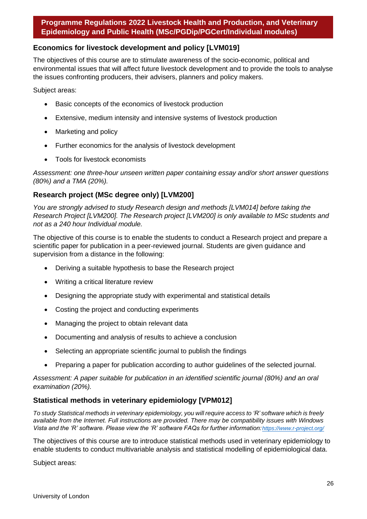### **Economics for livestock development and policy [LVM019]**

The objectives of this course are to stimulate awareness of the socio-economic, political and environmental issues that will affect future livestock development and to provide the tools to analyse the issues confronting producers, their advisers, planners and policy makers.

Subject areas:

- Basic concepts of the economics of livestock production
- Extensive, medium intensity and intensive systems of livestock production
- Marketing and policy
- Further economics for the analysis of livestock development
- Tools for livestock economists

*Assessment: one three-hour unseen written paper containing essay and/or short answer questions (80%) and a TMA (20%).*

## **Research project (MSc degree only) [LVM200]**

*You are strongly advised to study Research design and methods [LVM014] before taking the Research Project [LVM200]. The Research project [LVM200] is only available to MSc students and not as a 240 hour Individual module.* 

The objective of this course is to enable the students to conduct a Research project and prepare a scientific paper for publication in a peer-reviewed journal. Students are given guidance and supervision from a distance in the following:

- Deriving a suitable hypothesis to base the Research project
- Writing a critical literature review
- Designing the appropriate study with experimental and statistical details
- Costing the project and conducting experiments
- Managing the project to obtain relevant data
- Documenting and analysis of results to achieve a conclusion
- Selecting an appropriate scientific journal to publish the findings
- Preparing a paper for publication according to author guidelines of the selected journal.

*Assessment: A paper suitable for publication in an identified scientific journal (80%) and an oral examination (20%).*

#### **Statistical methods in veterinary epidemiology [VPM012]**

To study Statistical methods in veterinary epidemiology, you will require access to 'R' software which is freely *available from the Internet. Full instructions are provided. There may be compatibility issues with Windows Vista and the 'R' software. Please view the 'R' software FAQs for further information:<https://www.r-project.org/>*

The objectives of this course are to introduce statistical methods used in veterinary epidemiology to enable students to conduct multivariable analysis and statistical modelling of epidemiological data.

Subject areas: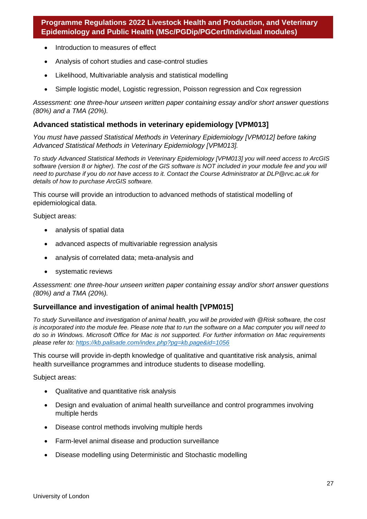- Introduction to measures of effect
- Analysis of cohort studies and case-control studies
- Likelihood, Multivariable analysis and statistical modelling
- Simple logistic model, Logistic regression, Poisson regression and Cox regression

*Assessment: one three-hour unseen written paper containing essay and/or short answer questions (80%) and a TMA (20%).*

#### **Advanced statistical methods in veterinary epidemiology [VPM013]**

*You must have passed Statistical Methods in Veterinary Epidemiology [VPM012] before taking Advanced Statistical Methods in Veterinary Epidemiology [VPM013].*

*To study Advanced Statistical Methods in Veterinary Epidemiology [VPM013] you will need access to ArcGIS software (version 8 or higher). The cost of the GIS software is NOT included in your module fee and you will need to purchase if you do not have access to it. Contact the Course Administrator at [DLP@rvc.ac.uk f](mailto:DLP@rvc.ac.uk)or details of how to purchase ArcGIS software.*

This course will provide an introduction to advanced methods of statistical modelling of epidemiological data.

Subject areas:

- analysis of spatial data
- advanced aspects of multivariable regression analysis
- analysis of correlated data; meta-analysis and
- systematic reviews

*Assessment: one three-hour unseen written paper containing essay and/or short answer questions (80%) and a TMA (20%).*

## **Surveillance and investigation of animal health [VPM015]**

*To study Surveillance and investigation of animal health, you will be provided with @Risk software, the cost is incorporated into the module fee. Please note that to run the software on a Mac computer you will need to do so in Windows. Microsoft Office for Mac is not supported. For further information on Mac requirements please refer to:<https://kb.palisade.com/index.php?pg=kb.page&id=1056>*

This course will provide in-depth knowledge of qualitative and quantitative risk analysis, animal health surveillance programmes and introduce students to disease modelling.

Subject areas:

- Qualitative and quantitative risk analysis
- Design and evaluation of animal health surveillance and control programmes involving multiple herds
- Disease control methods involving multiple herds
- Farm-level animal disease and production surveillance
- Disease modelling using Deterministic and Stochastic modelling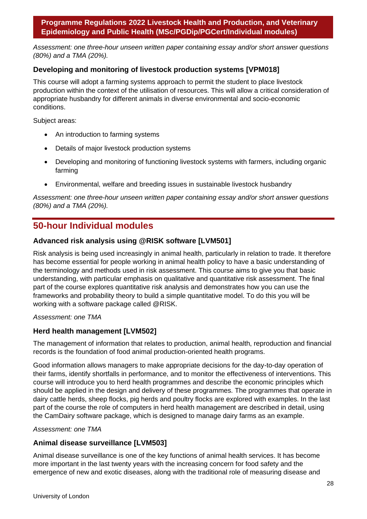*Assessment: one three-hour unseen written paper containing essay and/or short answer questions (80%) and a TMA (20%).*

## **Developing and monitoring of livestock production systems [VPM018]**

This course will adopt a farming systems approach to permit the student to place livestock production within the context of the utilisation of resources. This will allow a critical consideration of appropriate husbandry for different animals in diverse environmental and socio-economic conditions.

Subject areas:

- An introduction to farming systems
- Details of major livestock production systems
- Developing and monitoring of functioning livestock systems with farmers, including organic farming
- Environmental, welfare and breeding issues in sustainable livestock husbandry

*Assessment: one three-hour unseen written paper containing essay and/or short answer questions (80%) and a TMA (20%).*

## **50-hour Individual modules**

## **Advanced risk analysis using @RISK software [LVM501]**

Risk analysis is being used increasingly in animal health, particularly in relation to trade. It therefore has become essential for people working in animal health policy to have a basic understanding of the terminology and methods used in risk assessment. This course aims to give you that basic understanding, with particular emphasis on qualitative and quantitative risk assessment. The final part of the course explores quantitative risk analysis and demonstrates how you can use the frameworks and probability theory to build a simple quantitative model. To do this you will be working with a software package called @RISK.

#### *Assessment: one TMA*

#### **Herd health management [LVM502]**

The management of information that relates to production, animal health, reproduction and financial records is the foundation of food animal production-oriented health programs.

Good information allows managers to make appropriate decisions for the day-to-day operation of their farms, identify shortfalls in performance, and to monitor the effectiveness of interventions. This course will introduce you to herd health programmes and describe the economic principles which should be applied in the design and delivery of these programmes. The programmes that operate in dairy cattle herds, sheep flocks, pig herds and poultry flocks are explored with examples. In the last part of the course the role of computers in herd health management are described in detail, using the CamDairy software package, which is designed to manage dairy farms as an example.

#### *Assessment: one TMA*

#### **Animal disease surveillance [LVM503]**

Animal disease surveillance is one of the key functions of animal health services. It has become more important in the last twenty years with the increasing concern for food safety and the emergence of new and exotic diseases, along with the traditional role of measuring disease and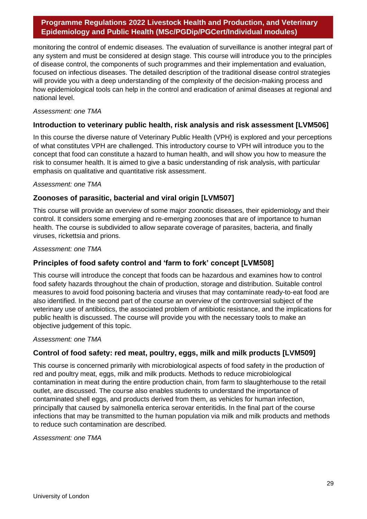monitoring the control of endemic diseases. The evaluation of surveillance is another integral part of any system and must be considered at design stage. This course will introduce you to the principles of disease control, the components of such programmes and their implementation and evaluation, focused on infectious diseases. The detailed description of the traditional disease control strategies will provide you with a deep understanding of the complexity of the decision-making process and how epidemiological tools can help in the control and eradication of animal diseases at regional and national level.

#### *Assessment: one TMA*

## **Introduction to veterinary public health, risk analysis and risk assessment [LVM506]**

In this course the diverse nature of Veterinary Public Health (VPH) is explored and your perceptions of what constitutes VPH are challenged. This introductory course to VPH will introduce you to the concept that food can constitute a hazard to human health, and will show you how to measure the risk to consumer health. It is aimed to give a basic understanding of risk analysis, with particular emphasis on qualitative and quantitative risk assessment.

*Assessment: one TMA*

## **Zoonoses of parasitic, bacterial and viral origin [LVM507]**

This course will provide an overview of some major zoonotic diseases, their epidemiology and their control. It considers some emerging and re-emerging zoonoses that are of importance to human health. The course is subdivided to allow separate coverage of parasites, bacteria, and finally viruses, rickettsia and prions.

*Assessment: one TMA*

## **Principles of food safety control and 'farm to fork' concept [LVM508]**

This course will introduce the concept that foods can be hazardous and examines how to control food safety hazards throughout the chain of production, storage and distribution. Suitable control measures to avoid food poisoning bacteria and viruses that may contaminate ready-to-eat food are also identified. In the second part of the course an overview of the controversial subject of the veterinary use of antibiotics, the associated problem of antibiotic resistance, and the implications for public health is discussed. The course will provide you with the necessary tools to make an objective judgement of this topic.

#### *Assessment: one TMA*

#### **Control of food safety: red meat, poultry, eggs, milk and milk products [LVM509]**

This course is concerned primarily with microbiological aspects of food safety in the production of red and poultry meat, eggs, milk and milk products. Methods to reduce microbiological contamination in meat during the entire production chain, from farm to slaughterhouse to the retail outlet, are discussed. The course also enables students to understand the importance of contaminated shell eggs, and products derived from them, as vehicles for human infection, principally that caused by salmonella enterica serovar enteritidis. In the final part of the course infections that may be transmitted to the human population via milk and milk products and methods to reduce such contamination are described.

*Assessment: one TMA*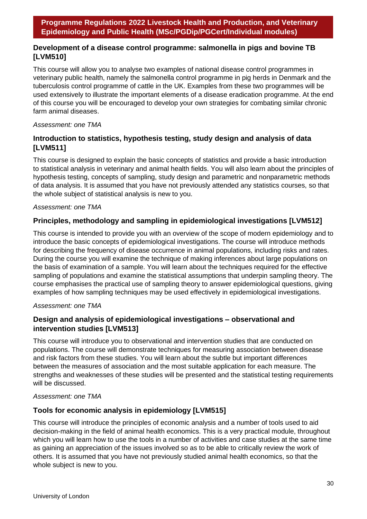## **Development of a disease control programme: salmonella in pigs and bovine TB [LVM510]**

This course will allow you to analyse two examples of national disease control programmes in veterinary public health, namely the salmonella control programme in pig herds in Denmark and the tuberculosis control programme of cattle in the UK. Examples from these two programmes will be used extensively to illustrate the important elements of a disease eradication programme. At the end of this course you will be encouraged to develop your own strategies for combating similar chronic farm animal diseases.

#### *Assessment: one TMA*

## **Introduction to statistics, hypothesis testing, study design and analysis of data [LVM511]**

This course is designed to explain the basic concepts of statistics and provide a basic introduction to statistical analysis in veterinary and animal health fields. You will also learn about the principles of hypothesis testing, concepts of sampling, study design and parametric and nonparametric methods of data analysis. It is assumed that you have not previously attended any statistics courses, so that the whole subject of statistical analysis is new to you.

#### *Assessment: one TMA*

## **Principles, methodology and sampling in epidemiological investigations [LVM512]**

This course is intended to provide you with an overview of the scope of modern epidemiology and to introduce the basic concepts of epidemiological investigations. The course will introduce methods for describing the frequency of disease occurrence in animal populations, including risks and rates. During the course you will examine the technique of making inferences about large populations on the basis of examination of a sample. You will learn about the techniques required for the effective sampling of populations and examine the statistical assumptions that underpin sampling theory. The course emphasises the practical use of sampling theory to answer epidemiological questions, giving examples of how sampling techniques may be used effectively in epidemiological investigations.

#### *Assessment: one TMA*

## **Design and analysis of epidemiological investigations – observational and intervention studies [LVM513]**

This course will introduce you to observational and intervention studies that are conducted on populations. The course will demonstrate techniques for measuring association between disease and risk factors from these studies. You will learn about the subtle but important differences between the measures of association and the most suitable application for each measure. The strengths and weaknesses of these studies will be presented and the statistical testing requirements will be discussed.

#### *Assessment: one TMA*

## **Tools for economic analysis in epidemiology [LVM515]**

This course will introduce the principles of economic analysis and a number of tools used to aid decision-making in the field of animal health economics. This is a very practical module, throughout which you will learn how to use the tools in a number of activities and case studies at the same time as gaining an appreciation of the issues involved so as to be able to critically review the work of others. It is assumed that you have not previously studied animal health economics, so that the whole subject is new to you.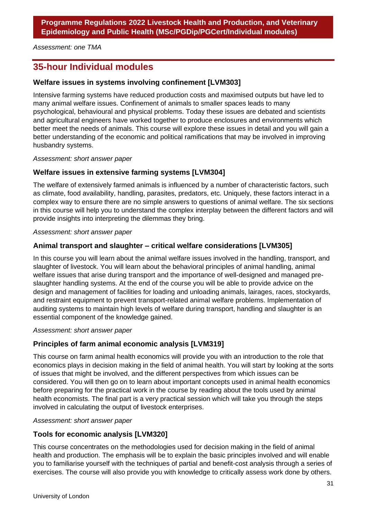*Assessment: one TMA*

## **35-hour Individual modules**

## **Welfare issues in systems involving confinement [LVM303]**

Intensive farming systems have reduced production costs and maximised outputs but have led to many animal welfare issues. Confinement of animals to smaller spaces leads to many psychological, behavioural and physical problems. Today these issues are debated and scientists and agricultural engineers have worked together to produce enclosures and environments which better meet the needs of animals. This course will explore these issues in detail and you will gain a better understanding of the economic and political ramifications that may be involved in improving husbandry systems.

*Assessment: short answer paper*

#### **Welfare issues in extensive farming systems [LVM304]**

The welfare of extensively farmed animals is influenced by a number of characteristic factors, such as climate, food availability, handling, parasites, predators, etc. Uniquely, these factors interact in a complex way to ensure there are no simple answers to questions of animal welfare. The six sections in this course will help you to understand the complex interplay between the different factors and will provide insights into interpreting the dilemmas they bring.

#### *Assessment: short answer paper*

## **Animal transport and slaughter – critical welfare considerations [LVM305]**

In this course you will learn about the animal welfare issues involved in the handling, transport, and slaughter of livestock. You will learn about the behavioral principles of animal handling, animal welfare issues that arise during transport and the importance of well-designed and managed preslaughter handling systems. At the end of the course you will be able to provide advice on the design and management of facilities for loading and unloading animals, lairages, races, stockyards, and restraint equipment to prevent transport-related animal welfare problems. Implementation of auditing systems to maintain high levels of welfare during transport, handling and slaughter is an essential component of the knowledge gained.

*Assessment: short answer paper*

#### **Principles of farm animal economic analysis [LVM319]**

This course on farm animal health economics will provide you with an introduction to the role that economics plays in decision making in the field of animal health. You will start by looking at the sorts of issues that might be involved, and the different perspectives from which issues can be considered. You will then go on to learn about important concepts used in animal health economics before preparing for the practical work in the course by reading about the tools used by animal health economists. The final part is a very practical session which will take you through the steps involved in calculating the output of livestock enterprises.

#### *Assessment: short answer paper*

## **Tools for economic analysis [LVM320]**

This course concentrates on the methodologies used for decision making in the field of animal health and production. The emphasis will be to explain the basic principles involved and will enable you to familiarise yourself with the techniques of partial and benefit-cost analysis through a series of exercises. The course will also provide you with knowledge to critically assess work done by others.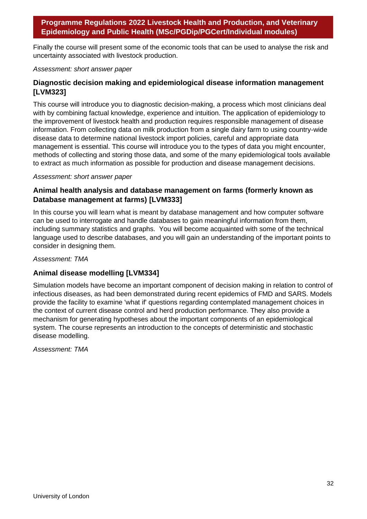Finally the course will present some of the economic tools that can be used to analyse the risk and uncertainty associated with livestock production.

#### *Assessment: short answer paper*

## **Diagnostic decision making and epidemiological disease information management [LVM323]**

This course will introduce you to diagnostic decision-making, a process which most clinicians deal with by combining factual knowledge, experience and intuition. The application of epidemiology to the improvement of livestock health and production requires responsible management of disease information. From collecting data on milk production from a single dairy farm to using country-wide disease data to determine national livestock import policies, careful and appropriate data management is essential. This course will introduce you to the types of data you might encounter, methods of collecting and storing those data, and some of the many epidemiological tools available to extract as much information as possible for production and disease management decisions.

#### *Assessment: short answer paper*

## **Animal health analysis and database management on farms (formerly known as Database management at farms) [LVM333]**

In this course you will learn what is meant by database management and how computer software can be used to interrogate and handle databases to gain meaningful information from them, including summary statistics and graphs. You will become acquainted with some of the technical language used to describe databases, and you will gain an understanding of the important points to consider in designing them.

#### *Assessment: TMA*

#### **Animal disease modelling [LVM334]**

Simulation models have become an important component of decision making in relation to control of infectious diseases, as had been demonstrated during recent epidemics of FMD and SARS. Models provide the facility to examine 'what if' questions regarding contemplated management choices in the context of current disease control and herd production performance. They also provide a mechanism for generating hypotheses about the important components of an epidemiological system. The course represents an introduction to the concepts of deterministic and stochastic disease modelling.

*Assessment: TMA*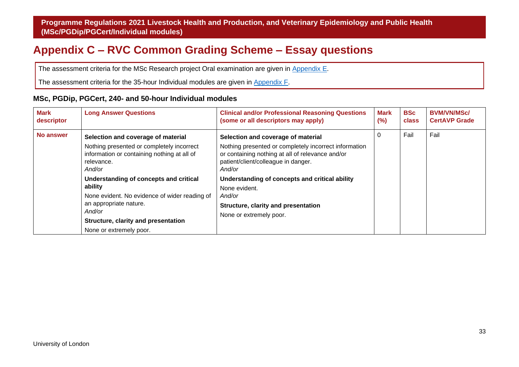## <span id="page-33-1"></span>**Appendix C – RVC Common Grading Scheme – Essay questions**

The assessment criteria for the MSc Research project Oral examination are given in [Appendix E.](#page-47-1)

The assessment criteria for the 35-hour Individual modules are given in [Appendix F.](#page-49-1)

#### **MSc, PGDip, PGCert, 240- and 50-hour Individual modules**

<span id="page-33-0"></span>

| <b>Mark</b><br>descriptor | <b>Long Answer Questions</b>                                                                                     | <b>Clinical and/or Professional Reasoning Questions</b><br>(some or all descriptors may apply)                                                             | Mark<br>$(\%)$ | <b>BSc</b><br>class | <b>BVM/VN/MSc/</b><br><b>CertAVP Grade</b> |
|---------------------------|------------------------------------------------------------------------------------------------------------------|------------------------------------------------------------------------------------------------------------------------------------------------------------|----------------|---------------------|--------------------------------------------|
| No answer                 | Selection and coverage of material                                                                               | Selection and coverage of material                                                                                                                         | 0              | Fail                | Fail                                       |
|                           | Nothing presented or completely incorrect<br>information or containing nothing at all of<br>relevance.<br>And/or | Nothing presented or completely incorrect information<br>or containing nothing at all of relevance and/or<br>patient/client/colleague in danger.<br>And/or |                |                     |                                            |
|                           | Understanding of concepts and critical                                                                           | Understanding of concepts and critical ability                                                                                                             |                |                     |                                            |
|                           | ability                                                                                                          | None evident.                                                                                                                                              |                |                     |                                            |
|                           | None evident. No evidence of wider reading of                                                                    | And/or                                                                                                                                                     |                |                     |                                            |
|                           | an appropriate nature.                                                                                           | Structure, clarity and presentation                                                                                                                        |                |                     |                                            |
|                           | And/or                                                                                                           | None or extremely poor.                                                                                                                                    |                |                     |                                            |
|                           | Structure, clarity and presentation                                                                              |                                                                                                                                                            |                |                     |                                            |
|                           | None or extremely poor.                                                                                          |                                                                                                                                                            |                |                     |                                            |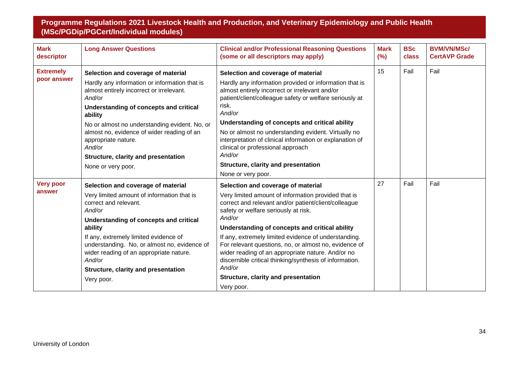| <b>Mark</b><br>descriptor       | <b>Long Answer Questions</b>                                                                                                                                                                                                                                                                                                                                                                | <b>Clinical and/or Professional Reasoning Questions</b><br>(some or all descriptors may apply)                                                                                                                                                                                                                                                                                                                                                                                                                                                        | <b>Mark</b><br>(%) | <b>BSc</b><br>class | <b>BVM/VN/MSc/</b><br><b>CertAVP Grade</b> |
|---------------------------------|---------------------------------------------------------------------------------------------------------------------------------------------------------------------------------------------------------------------------------------------------------------------------------------------------------------------------------------------------------------------------------------------|-------------------------------------------------------------------------------------------------------------------------------------------------------------------------------------------------------------------------------------------------------------------------------------------------------------------------------------------------------------------------------------------------------------------------------------------------------------------------------------------------------------------------------------------------------|--------------------|---------------------|--------------------------------------------|
| <b>Extremely</b><br>poor answer | Selection and coverage of material<br>Hardly any information or information that is<br>almost entirely incorrect or irrelevant.<br>And/or<br>Understanding of concepts and critical<br>ability<br>No or almost no understanding evident. No, or<br>almost no, evidence of wider reading of an<br>appropriate nature.<br>And/or<br>Structure, clarity and presentation<br>None or very poor. | Selection and coverage of material<br>Hardly any information provided or information that is<br>almost entirely incorrect or irrelevant and/or<br>patient/client/colleague safety or welfare seriously at<br>risk.<br>And/or<br>Understanding of concepts and critical ability<br>No or almost no understanding evident. Virtually no<br>interpretation of clinical information or explanation of<br>clinical or professional approach<br>And/or<br>Structure, clarity and presentation<br>None or very poor.                                         | 15                 | Fail                | Fail                                       |
| <b>Very poor</b><br>answer      | Selection and coverage of material<br>Very limited amount of information that is<br>correct and relevant.<br>And/or<br>Understanding of concepts and critical<br>ability<br>If any, extremely limited evidence of<br>understanding. No, or almost no, evidence of<br>wider reading of an appropriate nature.<br>And/or<br>Structure, clarity and presentation<br>Very poor.                 | Selection and coverage of material<br>Very limited amount of information provided that is<br>correct and relevant and/or patient/client/colleague<br>safety or welfare seriously at risk.<br>And/or<br>Understanding of concepts and critical ability<br>If any, extremely limited evidence of understanding.<br>For relevant questions, no, or almost no, evidence of<br>wider reading of an appropriate nature. And/or no<br>discernible critical thinking/synthesis of information.<br>And/or<br>Structure, clarity and presentation<br>Very poor. | 27                 | Fail                | Fail                                       |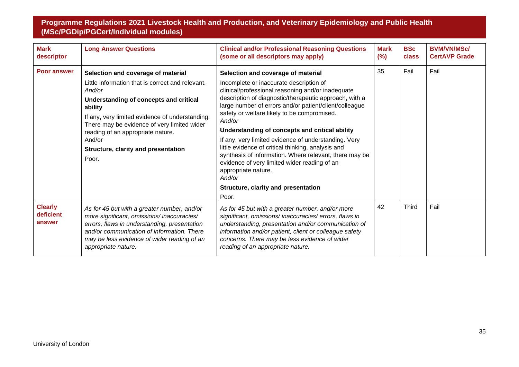| <b>Mark</b><br>descriptor             | <b>Long Answer Questions</b>                                                                                                                                                                                                                                                                                                                                  | <b>Clinical and/or Professional Reasoning Questions</b><br>(some or all descriptors may apply)                                                                                                                                                                                                                                                                                                                                                                                                                                                                                                                                                                             | <b>Mark</b><br>(%) | <b>BSc</b><br>class | <b>BVM/VN/MSc/</b><br><b>CertAVP Grade</b> |
|---------------------------------------|---------------------------------------------------------------------------------------------------------------------------------------------------------------------------------------------------------------------------------------------------------------------------------------------------------------------------------------------------------------|----------------------------------------------------------------------------------------------------------------------------------------------------------------------------------------------------------------------------------------------------------------------------------------------------------------------------------------------------------------------------------------------------------------------------------------------------------------------------------------------------------------------------------------------------------------------------------------------------------------------------------------------------------------------------|--------------------|---------------------|--------------------------------------------|
| <b>Poor answer</b>                    | Selection and coverage of material<br>Little information that is correct and relevant.<br>And/or<br>Understanding of concepts and critical<br>ability<br>If any, very limited evidence of understanding.<br>There may be evidence of very limited wider<br>reading of an appropriate nature.<br>And/or<br><b>Structure, clarity and presentation</b><br>Poor. | Selection and coverage of material<br>Incomplete or inaccurate description of<br>clinical/professional reasoning and/or inadequate<br>description of diagnostic/therapeutic approach, with a<br>large number of errors and/or patient/client/colleague<br>safety or welfare likely to be compromised.<br>And/or<br>Understanding of concepts and critical ability<br>If any, very limited evidence of understanding. Very<br>little evidence of critical thinking, analysis and<br>synthesis of information. Where relevant, there may be<br>evidence of very limited wider reading of an<br>appropriate nature.<br>And/or<br>Structure, clarity and presentation<br>Poor. | 35                 | Fail                | Fail                                       |
| <b>Clearly</b><br>deficient<br>answer | As for 45 but with a greater number, and/or<br>more significant, omissions/inaccuracies/<br>errors, flaws in understanding, presentation<br>and/or communication of information. There<br>may be less evidence of wider reading of an<br>appropriate nature.                                                                                                  | As for 45 but with a greater number, and/or more<br>significant, omissions/inaccuracies/errors, flaws in<br>understanding, presentation and/or communication of<br>information and/or patient, client or colleague safety<br>concerns. There may be less evidence of wider<br>reading of an appropriate nature.                                                                                                                                                                                                                                                                                                                                                            | 42                 | <b>Third</b>        | Fail                                       |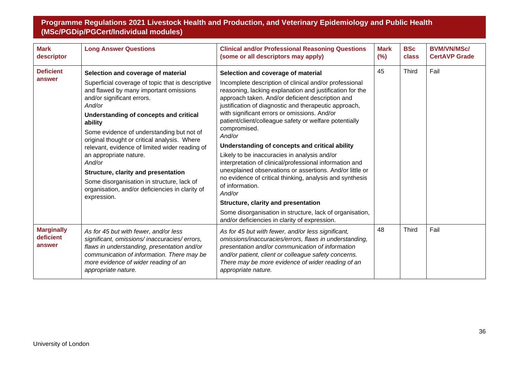| <b>Mark</b><br>descriptor                | <b>Long Answer Questions</b>                                                                                                                                                                                                                                                                                                                                                                                                                                                                                                                                                    | <b>Clinical and/or Professional Reasoning Questions</b><br>(some or all descriptors may apply)                                                                                                                                                                                                                                                                                                                                                                                                                                                                                                                                                                                                                                                                                                                                                                                  | <b>Mark</b><br>(%) | <b>BSc</b><br>class | <b>BVM/VN/MSc/</b><br><b>CertAVP Grade</b> |
|------------------------------------------|---------------------------------------------------------------------------------------------------------------------------------------------------------------------------------------------------------------------------------------------------------------------------------------------------------------------------------------------------------------------------------------------------------------------------------------------------------------------------------------------------------------------------------------------------------------------------------|---------------------------------------------------------------------------------------------------------------------------------------------------------------------------------------------------------------------------------------------------------------------------------------------------------------------------------------------------------------------------------------------------------------------------------------------------------------------------------------------------------------------------------------------------------------------------------------------------------------------------------------------------------------------------------------------------------------------------------------------------------------------------------------------------------------------------------------------------------------------------------|--------------------|---------------------|--------------------------------------------|
| <b>Deficient</b><br>answer               | Selection and coverage of material<br>Superficial coverage of topic that is descriptive<br>and flawed by many important omissions<br>and/or significant errors.<br>And/or<br>Understanding of concepts and critical<br>ability<br>Some evidence of understanding but not of<br>original thought or critical analysis. Where<br>relevant, evidence of limited wider reading of<br>an appropriate nature.<br>And/or<br><b>Structure, clarity and presentation</b><br>Some disorganisation in structure, lack of<br>organisation, and/or deficiencies in clarity of<br>expression. | Selection and coverage of material<br>Incomplete description of clinical and/or professional<br>reasoning, lacking explanation and justification for the<br>approach taken. And/or deficient description and<br>justification of diagnostic and therapeutic approach,<br>with significant errors or omissions. And/or<br>patient/client/colleague safety or welfare potentially<br>compromised.<br>And/or<br>Understanding of concepts and critical ability<br>Likely to be inaccuracies in analysis and/or<br>interpretation of clinical/professional information and<br>unexplained observations or assertions. And/or little or<br>no evidence of critical thinking, analysis and synthesis<br>of information.<br>And/or<br>Structure, clarity and presentation<br>Some disorganisation in structure, lack of organisation,<br>and/or deficiencies in clarity of expression. | 45                 | <b>Third</b>        | Fail                                       |
| <b>Marginally</b><br>deficient<br>answer | As for 45 but with fewer, and/or less<br>significant, omissions/inaccuracies/errors,<br>flaws in understanding, presentation and/or<br>communication of information. There may be<br>more evidence of wider reading of an<br>appropriate nature.                                                                                                                                                                                                                                                                                                                                | As for 45 but with fewer, and/or less significant,<br>omissions/inaccuracies/errors, flaws in understanding,<br>presentation and/or communication of information<br>and/or patient, client or colleague safety concerns.<br>There may be more evidence of wider reading of an<br>appropriate nature.                                                                                                                                                                                                                                                                                                                                                                                                                                                                                                                                                                            | 48                 | <b>Third</b>        | Fail                                       |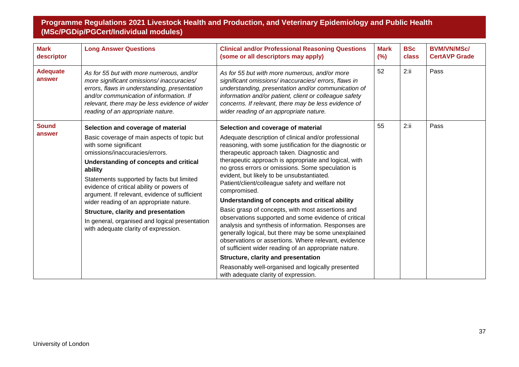| <b>Mark</b><br>descriptor | <b>Long Answer Questions</b>                                                                                                                                                                                                                                                                                                                                                                                                                                                       | <b>Clinical and/or Professional Reasoning Questions</b><br>(some or all descriptors may apply)                                                                                                                                                                                                                                                                                                                                                                                                                                                                                                                                                                                                                                       | <b>Mark</b><br>(%) | <b>BSc</b><br>class | <b>BVM/VN/MSc/</b><br><b>CertAVP Grade</b> |
|---------------------------|------------------------------------------------------------------------------------------------------------------------------------------------------------------------------------------------------------------------------------------------------------------------------------------------------------------------------------------------------------------------------------------------------------------------------------------------------------------------------------|--------------------------------------------------------------------------------------------------------------------------------------------------------------------------------------------------------------------------------------------------------------------------------------------------------------------------------------------------------------------------------------------------------------------------------------------------------------------------------------------------------------------------------------------------------------------------------------------------------------------------------------------------------------------------------------------------------------------------------------|--------------------|---------------------|--------------------------------------------|
| <b>Adequate</b><br>answer | As for 55 but with more numerous, and/or<br>more significant omissions/inaccuracies/<br>errors, flaws in understanding, presentation<br>and/or communication of information. If<br>relevant, there may be less evidence of wider<br>reading of an appropriate nature.                                                                                                                                                                                                              | As for 55 but with more numerous, and/or more<br>significant omissions/inaccuracies/errors, flaws in<br>understanding, presentation and/or communication of<br>information and/or patient, client or colleague safety<br>concerns. If relevant, there may be less evidence of<br>wider reading of an appropriate nature.                                                                                                                                                                                                                                                                                                                                                                                                             | 52                 | 2:ii                | Pass                                       |
| <b>Sound</b>              | Selection and coverage of material                                                                                                                                                                                                                                                                                                                                                                                                                                                 | Selection and coverage of material                                                                                                                                                                                                                                                                                                                                                                                                                                                                                                                                                                                                                                                                                                   | 55                 | 2:ii                | Pass                                       |
| answer                    | Basic coverage of main aspects of topic but<br>with some significant<br>omissions/inaccuracies/errors.<br>Understanding of concepts and critical<br>ability<br>Statements supported by facts but limited<br>evidence of critical ability or powers of<br>argument. If relevant, evidence of sufficient<br>wider reading of an appropriate nature.<br>Structure, clarity and presentation<br>In general, organised and logical presentation<br>with adequate clarity of expression. | Adequate description of clinical and/or professional<br>reasoning, with some justification for the diagnostic or<br>therapeutic approach taken. Diagnostic and<br>therapeutic approach is appropriate and logical, with<br>no gross errors or omissions. Some speculation is<br>evident, but likely to be unsubstantiated.<br>Patient/client/colleague safety and welfare not<br>compromised.<br>Understanding of concepts and critical ability<br>Basic grasp of concepts, with most assertions and<br>observations supported and some evidence of critical<br>analysis and synthesis of information. Responses are<br>generally logical, but there may be some unexplained<br>observations or assertions. Where relevant, evidence |                    |                     |                                            |
|                           |                                                                                                                                                                                                                                                                                                                                                                                                                                                                                    | of sufficient wider reading of an appropriate nature.<br>Structure, clarity and presentation                                                                                                                                                                                                                                                                                                                                                                                                                                                                                                                                                                                                                                         |                    |                     |                                            |
|                           |                                                                                                                                                                                                                                                                                                                                                                                                                                                                                    | Reasonably well-organised and logically presented<br>with adequate clarity of expression.                                                                                                                                                                                                                                                                                                                                                                                                                                                                                                                                                                                                                                            |                    |                     |                                            |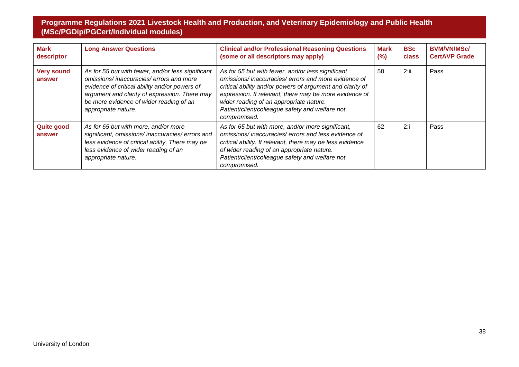| <b>Mark</b><br>descriptor   | <b>Long Answer Questions</b>                                                                                                                                                                                                                                    | <b>Clinical and/or Professional Reasoning Questions</b><br>(some or all descriptors may apply)                                                                                                                                                                                                                                               | Mark<br>$(\% )$ | <b>BSc</b><br>class | <b>BVM/VN/MSc/</b><br><b>CertAVP Grade</b> |
|-----------------------------|-----------------------------------------------------------------------------------------------------------------------------------------------------------------------------------------------------------------------------------------------------------------|----------------------------------------------------------------------------------------------------------------------------------------------------------------------------------------------------------------------------------------------------------------------------------------------------------------------------------------------|-----------------|---------------------|--------------------------------------------|
| <b>Very sound</b><br>answer | As for 55 but with fewer, and/or less significant<br>omissions/inaccuracies/errors and more<br>evidence of critical ability and/or powers of<br>argument and clarity of expression. There may<br>be more evidence of wider reading of an<br>appropriate nature. | As for 55 but with fewer, and/or less significant<br>omissions/inaccuracies/errors and more evidence of<br>critical ability and/or powers of argument and clarity of<br>expression. If relevant, there may be more evidence of<br>wider reading of an appropriate nature.<br>Patient/client/colleague safety and welfare not<br>compromised. | 58              | 2:ii                | Pass                                       |
| <b>Quite good</b><br>answer | As for 65 but with more, and/or more<br>significant, omissions/inaccuracies/errors and<br>less evidence of critical ability. There may be<br>less evidence of wider reading of an<br>appropriate nature.                                                        | As for 65 but with more, and/or more significant,<br>omissions/inaccuracies/errors and less evidence of<br>critical ability. If relevant, there may be less evidence<br>of wider reading of an appropriate nature.<br>Patient/client/colleague safety and welfare not<br>compromised.                                                        | 62              | 2:i                 | Pass                                       |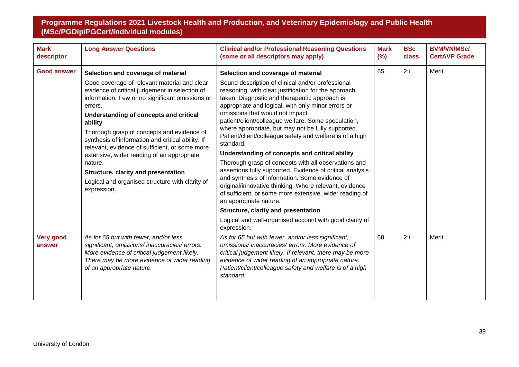| <b>Mark</b><br>descriptor  | <b>Long Answer Questions</b>                                                                                                                                                                                                                                                                                                                                                                                                                                                                                                                                                   | <b>Clinical and/or Professional Reasoning Questions</b><br>(some or all descriptors may apply)                                                                                                                                                                                                                                                                                                                                                                                                                                                                                                                                                                                                                                                                                                                                                                                                                                                                           | <b>Mark</b><br>(%) | <b>BSc</b><br>class | <b>BVM/VN/MSc/</b><br><b>CertAVP Grade</b> |
|----------------------------|--------------------------------------------------------------------------------------------------------------------------------------------------------------------------------------------------------------------------------------------------------------------------------------------------------------------------------------------------------------------------------------------------------------------------------------------------------------------------------------------------------------------------------------------------------------------------------|--------------------------------------------------------------------------------------------------------------------------------------------------------------------------------------------------------------------------------------------------------------------------------------------------------------------------------------------------------------------------------------------------------------------------------------------------------------------------------------------------------------------------------------------------------------------------------------------------------------------------------------------------------------------------------------------------------------------------------------------------------------------------------------------------------------------------------------------------------------------------------------------------------------------------------------------------------------------------|--------------------|---------------------|--------------------------------------------|
| <b>Good answer</b>         | Selection and coverage of material<br>Good coverage of relevant material and clear<br>evidence of critical judgement in selection of<br>information. Few or no significant omissions or<br>errors.<br>Understanding of concepts and critical<br>ability<br>Thorough grasp of concepts and evidence of<br>synthesis of information and critical ability. If<br>relevant, evidence of sufficient, or some more<br>extensive, wider reading of an appropriate<br>nature.<br>Structure, clarity and presentation<br>Logical and organised structure with clarity of<br>expression. | Selection and coverage of material<br>Sound description of clinical and/or professional<br>reasoning, with clear justification for the approach<br>taken. Diagnostic and therapeutic approach is<br>appropriate and logical, with only minor errors or<br>omissions that would not impact<br>patient/client/colleague welfare. Some speculation,<br>where appropriate, but may not be fully supported.<br>Patient/client/colleague safety and welfare is of a high<br>standard.<br>Understanding of concepts and critical ability<br>Thorough grasp of concepts with all observations and<br>assertions fully supported. Evidence of critical analysis<br>and synthesis of information. Some evidence of<br>original/innovative thinking. Where relevant, evidence<br>of sufficient, or some more extensive, wider reading of<br>an appropriate nature.<br>Structure, clarity and presentation<br>Logical and well-organised account with good clarity of<br>expression. | 65                 | 2:i                 | Merit                                      |
| <b>Very good</b><br>answer | As for 65 but with fewer, and/or less<br>significant, omissions/inaccuracies/errors.<br>More evidence of critical judgement likely.<br>There may be more evidence of wider reading<br>of an appropriate nature.                                                                                                                                                                                                                                                                                                                                                                | As for 65 but with fewer, and/or less significant,<br>omissions/inaccuracies/errors. More evidence of<br>critical judgement likely. If relevant, there may be more<br>evidence of wider reading of an appropriate nature.<br>Patient/client/colleague safety and welfare is of a high<br>standard.                                                                                                                                                                                                                                                                                                                                                                                                                                                                                                                                                                                                                                                                       | 68                 | 2:i                 | Merit                                      |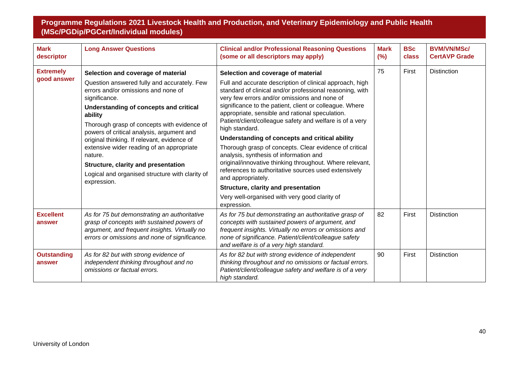| <b>Mark</b><br>descriptor       | <b>Long Answer Questions</b>                                                                                                                                                                                                                                                                                                                                                                      | <b>Clinical and/or Professional Reasoning Questions</b><br>(some or all descriptors may apply)                                                                                                                                                                                                                           | <b>Mark</b><br>(%) | <b>BSc</b><br>class | <b>BVM/VN/MSc/</b><br><b>CertAVP Grade</b> |
|---------------------------------|---------------------------------------------------------------------------------------------------------------------------------------------------------------------------------------------------------------------------------------------------------------------------------------------------------------------------------------------------------------------------------------------------|--------------------------------------------------------------------------------------------------------------------------------------------------------------------------------------------------------------------------------------------------------------------------------------------------------------------------|--------------------|---------------------|--------------------------------------------|
| <b>Extremely</b><br>good answer | Selection and coverage of material<br>Question answered fully and accurately. Few<br>errors and/or omissions and none of<br>significance.<br>Understanding of concepts and critical<br>ability<br>Thorough grasp of concepts with evidence of<br>powers of critical analysis, argument and<br>original thinking. If relevant, evidence of<br>extensive wider reading of an appropriate<br>nature. | Selection and coverage of material<br>Full and accurate description of clinical approach, high<br>standard of clinical and/or professional reasoning, with<br>very few errors and/or omissions and none of<br>significance to the patient, client or colleague. Where<br>appropriate, sensible and rational speculation. | 75                 | First               | <b>Distinction</b>                         |
|                                 |                                                                                                                                                                                                                                                                                                                                                                                                   | Patient/client/colleague safety and welfare is of a very<br>high standard.<br>Understanding of concepts and critical ability<br>Thorough grasp of concepts. Clear evidence of critical<br>analysis, synthesis of information and                                                                                         |                    |                     |                                            |
|                                 | <b>Structure, clarity and presentation</b><br>Logical and organised structure with clarity of<br>expression.                                                                                                                                                                                                                                                                                      | original/innovative thinking throughout. Where relevant,<br>references to authoritative sources used extensively<br>and appropriately.<br>Structure, clarity and presentation<br>Very well-organised with very good clarity of<br>expression.                                                                            |                    |                     |                                            |
| <b>Excellent</b><br>answer      | As for 75 but demonstrating an authoritative<br>grasp of concepts with sustained powers of<br>argument, and frequent insights. Virtually no<br>errors or omissions and none of significance.                                                                                                                                                                                                      | As for 75 but demonstrating an authoritative grasp of<br>concepts with sustained powers of argument, and<br>frequent insights. Virtually no errors or omissions and<br>none of significance. Patient/client/colleague safety<br>and welfare is of a very high standard.                                                  | 82                 | First               | <b>Distinction</b>                         |
| <b>Outstanding</b><br>answer    | As for 82 but with strong evidence of<br>independent thinking throughout and no<br>omissions or factual errors.                                                                                                                                                                                                                                                                                   | As for 82 but with strong evidence of independent<br>thinking throughout and no omissions or factual errors.<br>Patient/client/colleague safety and welfare is of a very<br>high standard.                                                                                                                               | 90                 | First               | <b>Distinction</b>                         |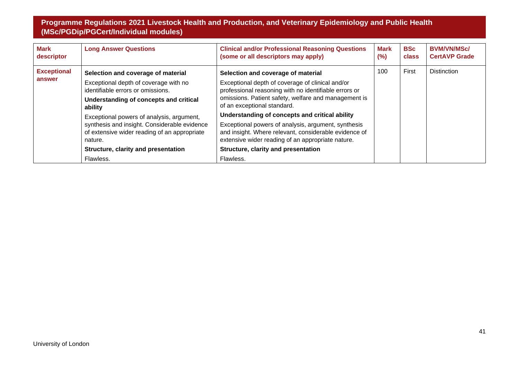| <b>Mark</b><br>descriptor | <b>Long Answer Questions</b>                                                                            | <b>Clinical and/or Professional Reasoning Questions</b><br>(some or all descriptors may apply)                                                                    | <b>Mark</b><br>$(\%)$ | <b>BSc</b><br>class | <b>BVM/VN/MSc/</b><br><b>CertAVP Grade</b> |
|---------------------------|---------------------------------------------------------------------------------------------------------|-------------------------------------------------------------------------------------------------------------------------------------------------------------------|-----------------------|---------------------|--------------------------------------------|
| <b>Exceptional</b>        | Selection and coverage of material                                                                      | Selection and coverage of material                                                                                                                                | 100                   | First               | <b>Distinction</b>                         |
| answer                    | Exceptional depth of coverage with no<br>identifiable errors or omissions.                              | Exceptional depth of coverage of clinical and/or<br>professional reasoning with no identifiable errors or                                                         |                       |                     |                                            |
|                           | Understanding of concepts and critical<br>ability                                                       | omissions. Patient safety, welfare and management is<br>of an exceptional standard.                                                                               |                       |                     |                                            |
|                           | Exceptional powers of analysis, argument,                                                               | Understanding of concepts and critical ability                                                                                                                    |                       |                     |                                            |
|                           | synthesis and insight. Considerable evidence<br>of extensive wider reading of an appropriate<br>nature. | Exceptional powers of analysis, argument, synthesis<br>and insight. Where relevant, considerable evidence of<br>extensive wider reading of an appropriate nature. |                       |                     |                                            |
|                           | Structure, clarity and presentation                                                                     | Structure, clarity and presentation                                                                                                                               |                       |                     |                                            |
|                           | Flawless.                                                                                               | Flawless.                                                                                                                                                         |                       |                     |                                            |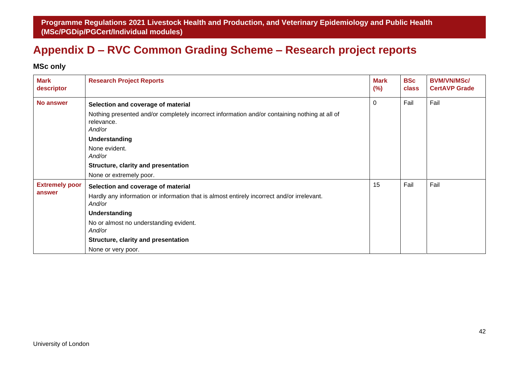## <span id="page-42-1"></span>**Appendix D – RVC Common Grading Scheme – Research project reports**

## **MSc only**

<span id="page-42-0"></span>

| <b>Mark</b><br>descriptor       | <b>Research Project Reports</b>                                                                                                            | <b>Mark</b><br>(%) | <b>BSc</b><br>class | <b>BVM/VN/MSc/</b><br><b>CertAVP Grade</b> |
|---------------------------------|--------------------------------------------------------------------------------------------------------------------------------------------|--------------------|---------------------|--------------------------------------------|
| No answer                       | Selection and coverage of material                                                                                                         | $\Omega$           | Fail                | Fail                                       |
|                                 | Nothing presented and/or completely incorrect information and/or containing nothing at all of<br>relevance.<br>And/or                      |                    |                     |                                            |
|                                 | Understanding                                                                                                                              |                    |                     |                                            |
|                                 | None evident.<br>And/or                                                                                                                    |                    |                     |                                            |
|                                 | Structure, clarity and presentation                                                                                                        |                    |                     |                                            |
|                                 | None or extremely poor.                                                                                                                    |                    |                     |                                            |
| <b>Extremely poor</b><br>answer | Selection and coverage of material<br>Hardly any information or information that is almost entirely incorrect and/or irrelevant.<br>And/or | 15                 | Fail                | Fail                                       |
|                                 | Understanding                                                                                                                              |                    |                     |                                            |
|                                 | No or almost no understanding evident.<br>And/or                                                                                           |                    |                     |                                            |
|                                 | Structure, clarity and presentation                                                                                                        |                    |                     |                                            |
|                                 | None or very poor.                                                                                                                         |                    |                     |                                            |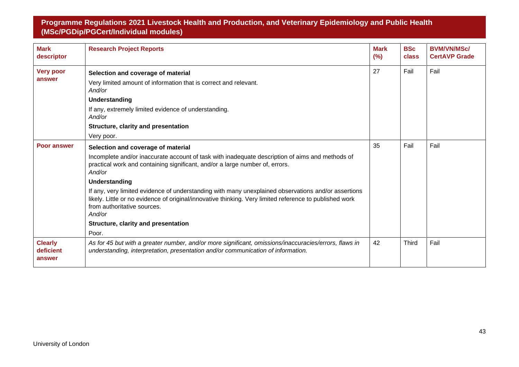| <b>Mark</b><br>descriptor             | <b>Research Project Reports</b>                                                                                                                                                                                                                         | <b>Mark</b><br>(%) | <b>BSc</b><br>class | <b>BVM/VN/MSc/</b><br><b>CertAVP Grade</b> |
|---------------------------------------|---------------------------------------------------------------------------------------------------------------------------------------------------------------------------------------------------------------------------------------------------------|--------------------|---------------------|--------------------------------------------|
| <b>Very poor</b><br>answer            | 27<br>Selection and coverage of material                                                                                                                                                                                                                |                    | Fail                | Fail                                       |
|                                       | Very limited amount of information that is correct and relevant.<br>And/or                                                                                                                                                                              |                    |                     |                                            |
|                                       | <b>Understanding</b>                                                                                                                                                                                                                                    |                    |                     |                                            |
|                                       | If any, extremely limited evidence of understanding.<br>And/or                                                                                                                                                                                          |                    |                     |                                            |
|                                       | Structure, clarity and presentation                                                                                                                                                                                                                     |                    |                     |                                            |
|                                       | Very poor.                                                                                                                                                                                                                                              |                    |                     |                                            |
| <b>Poor answer</b>                    | Selection and coverage of material                                                                                                                                                                                                                      | 35                 | Fail                | Fail                                       |
|                                       | Incomplete and/or inaccurate account of task with inadequate description of aims and methods of<br>practical work and containing significant, and/or a large number of, errors.<br>And/or                                                               |                    |                     |                                            |
|                                       | Understanding                                                                                                                                                                                                                                           |                    |                     |                                            |
|                                       | If any, very limited evidence of understanding with many unexplained observations and/or assertions<br>likely. Little or no evidence of original/innovative thinking. Very limited reference to published work<br>from authoritative sources.<br>And/or |                    |                     |                                            |
|                                       | Structure, clarity and presentation                                                                                                                                                                                                                     |                    |                     |                                            |
|                                       | Poor.                                                                                                                                                                                                                                                   |                    |                     |                                            |
| <b>Clearly</b><br>deficient<br>answer | As for 45 but with a greater number, and/or more significant, omissions/inaccuracies/errors, flaws in<br>understanding, interpretation, presentation and/or communication of information.                                                               | 42                 | <b>Third</b>        | Fail                                       |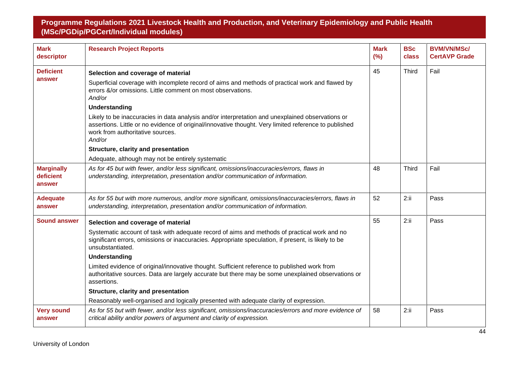| <b>Mark</b><br>descriptor                | <b>Research Project Reports</b>                                                                                                                                                                                                                                                                                                                                                                                                                                                                                                                                                                                                      | <b>Mark</b><br>(%) | <b>BSc</b><br>class | <b>BVM/VN/MSc/</b><br><b>CertAVP Grade</b> |
|------------------------------------------|--------------------------------------------------------------------------------------------------------------------------------------------------------------------------------------------------------------------------------------------------------------------------------------------------------------------------------------------------------------------------------------------------------------------------------------------------------------------------------------------------------------------------------------------------------------------------------------------------------------------------------------|--------------------|---------------------|--------------------------------------------|
| <b>Deficient</b><br>answer               | Selection and coverage of material<br>Superficial coverage with incomplete record of aims and methods of practical work and flawed by<br>errors &/or omissions. Little comment on most observations.<br>And/or                                                                                                                                                                                                                                                                                                                                                                                                                       | 45                 | <b>Third</b>        | Fail                                       |
|                                          | Understanding<br>Likely to be inaccuracies in data analysis and/or interpretation and unexplained observations or<br>assertions. Little or no evidence of original/innovative thought. Very limited reference to published<br>work from authoritative sources.<br>And/or                                                                                                                                                                                                                                                                                                                                                             |                    |                     |                                            |
|                                          | Structure, clarity and presentation<br>Adequate, although may not be entirely systematic                                                                                                                                                                                                                                                                                                                                                                                                                                                                                                                                             |                    |                     |                                            |
| <b>Marginally</b><br>deficient<br>answer | As for 45 but with fewer, and/or less significant, omissions/inaccuracies/errors, flaws in<br>understanding, interpretation, presentation and/or communication of information.                                                                                                                                                                                                                                                                                                                                                                                                                                                       | 48                 | <b>Third</b>        | Fail                                       |
| <b>Adequate</b><br>answer                | As for 55 but with more numerous, and/or more significant, omissions/inaccuracies/errors, flaws in<br>understanding, interpretation, presentation and/or communication of information.                                                                                                                                                                                                                                                                                                                                                                                                                                               | 52                 | 2:ii                | Pass                                       |
| <b>Sound answer</b>                      | Selection and coverage of material<br>Systematic account of task with adequate record of aims and methods of practical work and no<br>significant errors, omissions or inaccuracies. Appropriate speculation, if present, is likely to be<br>unsubstantiated.<br>Understanding<br>Limited evidence of original/innovative thought. Sufficient reference to published work from<br>authoritative sources. Data are largely accurate but there may be some unexplained observations or<br>assertions.<br>Structure, clarity and presentation<br>Reasonably well-organised and logically presented with adequate clarity of expression. | 55                 | 2:ii                | Pass                                       |
| <b>Very sound</b><br>answer              | As for 55 but with fewer, and/or less significant, omissions/inaccuracies/errors and more evidence of<br>critical ability and/or powers of argument and clarity of expression.                                                                                                                                                                                                                                                                                                                                                                                                                                                       | 58                 | 2:ii                | Pass                                       |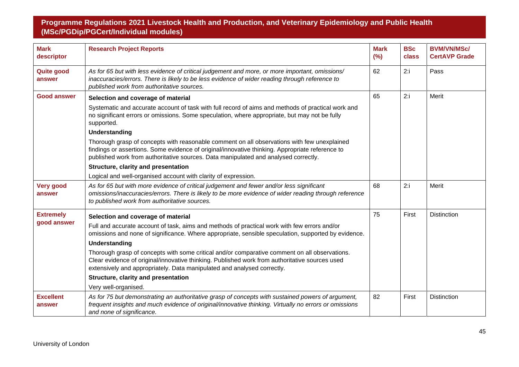| <b>Mark</b><br>descriptor   | <b>Research Project Reports</b>                                                                                                                                                                                                                                                       | <b>Mark</b><br>(%) | <b>BSc</b><br>class | <b>BVM/VN/MSc/</b><br><b>CertAVP Grade</b> |
|-----------------------------|---------------------------------------------------------------------------------------------------------------------------------------------------------------------------------------------------------------------------------------------------------------------------------------|--------------------|---------------------|--------------------------------------------|
| <b>Quite good</b><br>answer | As for 65 but with less evidence of critical judgement and more, or more important, omissions/<br>inaccuracies/errors. There is likely to be less evidence of wider reading through reference to<br>published work from authoritative sources.                                        | 62                 | 2:1                 | Pass                                       |
| <b>Good answer</b>          | Selection and coverage of material                                                                                                                                                                                                                                                    | 65                 | 2:1                 | Merit                                      |
|                             | Systematic and accurate account of task with full record of aims and methods of practical work and<br>no significant errors or omissions. Some speculation, where appropriate, but may not be fully<br>supported.                                                                     |                    |                     |                                            |
|                             | Understanding                                                                                                                                                                                                                                                                         |                    |                     |                                            |
|                             | Thorough grasp of concepts with reasonable comment on all observations with few unexplained<br>findings or assertions. Some evidence of original/innovative thinking. Appropriate reference to<br>published work from authoritative sources. Data manipulated and analysed correctly. |                    |                     |                                            |
|                             | Structure, clarity and presentation                                                                                                                                                                                                                                                   |                    |                     |                                            |
|                             | Logical and well-organised account with clarity of expression.                                                                                                                                                                                                                        |                    |                     |                                            |
| <b>Very good</b><br>answer  | As for 65 but with more evidence of critical judgement and fewer and/or less significant<br>omissions/inaccuracies/errors. There is likely to be more evidence of wider reading through reference<br>to published work from authoritative sources.                                    | 68                 | 2:1                 | Merit                                      |
| <b>Extremely</b>            | Selection and coverage of material                                                                                                                                                                                                                                                    | 75                 | First               | <b>Distinction</b>                         |
| good answer                 | Full and accurate account of task, aims and methods of practical work with few errors and/or<br>omissions and none of significance. Where appropriate, sensible speculation, supported by evidence.                                                                                   |                    |                     |                                            |
|                             | Understanding                                                                                                                                                                                                                                                                         |                    |                     |                                            |
|                             | Thorough grasp of concepts with some critical and/or comparative comment on all observations.<br>Clear evidence of original/innovative thinking. Published work from authoritative sources used<br>extensively and appropriately. Data manipulated and analysed correctly.            |                    |                     |                                            |
|                             | Structure, clarity and presentation                                                                                                                                                                                                                                                   |                    |                     |                                            |
|                             | Very well-organised.                                                                                                                                                                                                                                                                  |                    |                     |                                            |
| <b>Excellent</b><br>answer  | As for 75 but demonstrating an authoritative grasp of concepts with sustained powers of argument,<br>frequent insights and much evidence of original/innovative thinking. Virtually no errors or omissions<br>and none of significance.                                               | 82                 | First               | <b>Distinction</b>                         |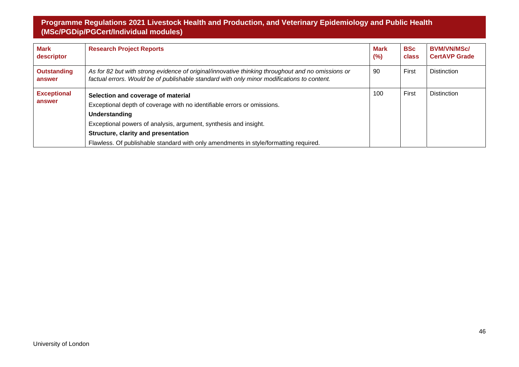| <b>Mark</b><br>descriptor    | <b>Research Project Reports</b>                                                                                                                                                                                                                                                                                                   | <b>Mark</b><br>(%) | <b>BSc</b><br>class | <b>BVM/VN/MSc/</b><br><b>CertAVP Grade</b> |
|------------------------------|-----------------------------------------------------------------------------------------------------------------------------------------------------------------------------------------------------------------------------------------------------------------------------------------------------------------------------------|--------------------|---------------------|--------------------------------------------|
| <b>Outstanding</b><br>answer | As for 82 but with strong evidence of original/innovative thinking throughout and no omissions or<br>factual errors. Would be of publishable standard with only minor modifications to content.                                                                                                                                   |                    | First               | <b>Distinction</b>                         |
| <b>Exceptional</b><br>answer | Selection and coverage of material<br>Exceptional depth of coverage with no identifiable errors or omissions.<br>Understanding<br>Exceptional powers of analysis, argument, synthesis and insight.<br>Structure, clarity and presentation<br>Flawless. Of publishable standard with only amendments in style/formatting required. | 100                | First               | <b>Distinction</b>                         |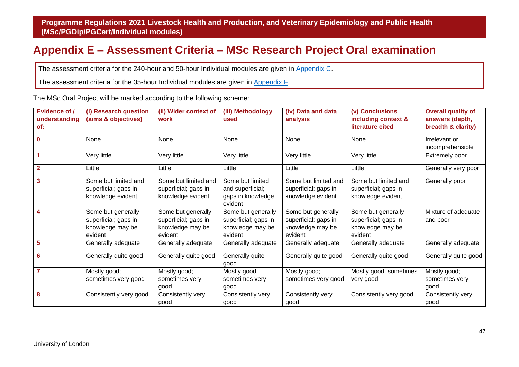## <span id="page-47-1"></span>**Appendix E – Assessment Criteria – MSc Research Project Oral examination**

The assessment criteria for the 240-hour and 50-hour Individual modules are given in [Appendix C.](#page-33-1)

The assessment criteria for the 35-hour Individual modules are given in [Appendix F.](#page-49-1)

The MSc Oral Project will be marked according to the following scheme:

<span id="page-47-0"></span>

| <b>Evidence of /</b><br>understanding<br>of: | (i) Research question<br>(aims & objectives)                              | (ii) Wider context of<br>work                                             | (iii) Methodology<br>used                                                 | (iv) Data and data<br>analysis                                            | (v) Conclusions<br>including context &<br>literature cited                | <b>Overall quality of</b><br>answers (depth,<br>breadth & clarity) |
|----------------------------------------------|---------------------------------------------------------------------------|---------------------------------------------------------------------------|---------------------------------------------------------------------------|---------------------------------------------------------------------------|---------------------------------------------------------------------------|--------------------------------------------------------------------|
| $\mathbf 0$                                  | None                                                                      | None                                                                      | None                                                                      | None                                                                      | None                                                                      | Irrelevant or<br>incomprehensible                                  |
| $\blacktriangleleft$                         | Very little                                                               | Very little                                                               | Very little                                                               | Very little                                                               | Very little                                                               | Extremely poor                                                     |
| $\overline{2}$                               | Little                                                                    | Little                                                                    | Little                                                                    | Little                                                                    | Little                                                                    | Generally very poor                                                |
| $\overline{3}$                               | Some but limited and<br>superficial; gaps in<br>knowledge evident         | Some but limited and<br>superficial; gaps in<br>knowledge evident         | Some but limited<br>and superficial;<br>gaps in knowledge<br>evident      | Some but limited and<br>superficial; gaps in<br>knowledge evident         | Some but limited and<br>superficial; gaps in<br>knowledge evident         | Generally poor                                                     |
| 4                                            | Some but generally<br>superficial; gaps in<br>knowledge may be<br>evident | Some but generally<br>superficial; gaps in<br>knowledge may be<br>evident | Some but generally<br>superficial; gaps in<br>knowledge may be<br>evident | Some but generally<br>superficial; gaps in<br>knowledge may be<br>evident | Some but generally<br>superficial; gaps in<br>knowledge may be<br>evident | Mixture of adequate<br>and poor                                    |
| 5                                            | Generally adequate                                                        | Generally adequate                                                        | Generally adequate                                                        | Generally adequate                                                        | Generally adequate                                                        | Generally adequate                                                 |
| $6\phantom{1}6$                              | Generally quite good                                                      | Generally quite good                                                      | Generally quite<br>good                                                   | Generally quite good                                                      | Generally quite good                                                      | Generally quite good                                               |
| $\overline{7}$                               | Mostly good;<br>sometimes very good                                       | Mostly good;<br>sometimes very<br>good                                    | Mostly good;<br>sometimes very<br>good                                    | Mostly good;<br>sometimes very good                                       | Mostly good; sometimes<br>very good                                       | Mostly good;<br>sometimes very<br>good                             |
| 8                                            | Consistently very good                                                    | Consistently very<br>good                                                 | Consistently very<br>good                                                 | Consistently very<br>good                                                 | Consistently very good                                                    | Consistently very<br>good                                          |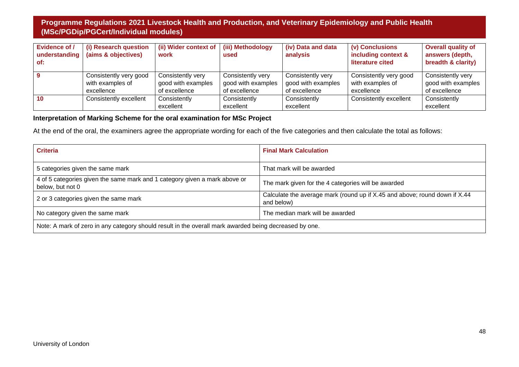| <b>Evidence of /</b><br>understanding<br>of: | (i) Research question<br>(aims & objectives)             | (ii) Wider context of<br>work                            | (iii) Methodology<br>used                                | (iv) Data and data<br>analysis                           | (v) Conclusions<br>including context &<br>literature cited | <b>Overall quality of</b><br>answers (depth,<br>breadth & clarity) |
|----------------------------------------------|----------------------------------------------------------|----------------------------------------------------------|----------------------------------------------------------|----------------------------------------------------------|------------------------------------------------------------|--------------------------------------------------------------------|
|                                              | Consistently very good<br>with examples of<br>excellence | Consistently very<br>good with examples<br>of excellence | Consistently very<br>good with examples<br>of excellence | Consistently very<br>good with examples<br>of excellence | Consistently very good<br>with examples of<br>excellence   | Consistently very<br>good with examples<br>of excellence           |
| 10                                           | Consistently excellent                                   | Consistently<br>excellent                                | Consistently<br>excellent                                | Consistently<br>excellent                                | Consistently excellent                                     | Consistently<br>excellent                                          |

#### **Interpretation of Marking Scheme for the oral examination for MSc Project**

At the end of the oral, the examiners agree the appropriate wording for each of the five categories and then calculate the total as follows:

| <b>Criteria</b>                                                                                        | <b>Final Mark Calculation</b>                                                            |  |  |  |  |
|--------------------------------------------------------------------------------------------------------|------------------------------------------------------------------------------------------|--|--|--|--|
| 5 categories given the same mark                                                                       | That mark will be awarded                                                                |  |  |  |  |
| 4 of 5 categories given the same mark and 1 category given a mark above or<br>below, but not 0         | The mark given for the 4 categories will be awarded                                      |  |  |  |  |
| 2 or 3 categories given the same mark                                                                  | Calculate the average mark (round up if X.45 and above; round down if X.44<br>and below) |  |  |  |  |
| No category given the same mark                                                                        | The median mark will be awarded                                                          |  |  |  |  |
| Note: A mark of zero in any category should result in the overall mark awarded being decreased by one. |                                                                                          |  |  |  |  |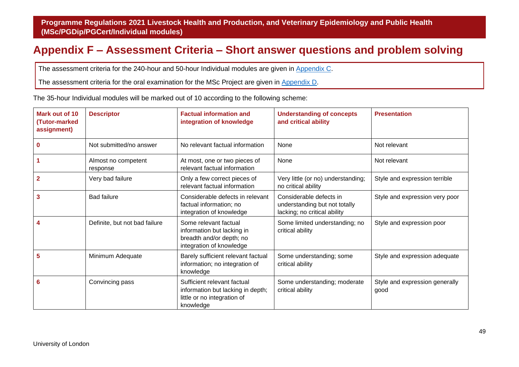## <span id="page-49-1"></span>**Appendix F – Assessment Criteria – Short answer questions and problem solving**

The assessment criteria for the 240-hour and 50-hour Individual modules are given in [Appendix C.](#page-33-1)

The assessment criteria for the oral examination for the MSc Project are given in [Appendix D.](#page-42-1)

The 35-hour Individual modules will be marked out of 10 according to the following scheme:

<span id="page-49-0"></span>

| Mark out of 10<br>(Tutor-marked<br>assignment) | <b>Descriptor</b>               | <b>Factual information and</b><br>integration of knowledge                                                   | <b>Understanding of concepts</b><br>and critical ability                                 | <b>Presentation</b>                    |
|------------------------------------------------|---------------------------------|--------------------------------------------------------------------------------------------------------------|------------------------------------------------------------------------------------------|----------------------------------------|
| 0                                              | Not submitted/no answer         | No relevant factual information                                                                              | None                                                                                     | Not relevant                           |
|                                                | Almost no competent<br>response | At most, one or two pieces of<br>relevant factual information                                                | None                                                                                     | Not relevant                           |
|                                                | Very bad failure                | Only a few correct pieces of<br>relevant factual information                                                 | Very little (or no) understanding;<br>no critical ability                                | Style and expression terrible          |
| 3                                              | <b>Bad failure</b>              | Considerable defects in relevant<br>factual information; no<br>integration of knowledge                      | Considerable defects in<br>understanding but not totally<br>lacking; no critical ability | Style and expression very poor         |
| 4                                              | Definite, but not bad failure   | Some relevant factual<br>information but lacking in<br>breadth and/or depth; no<br>integration of knowledge  | Some limited understanding; no<br>critical ability                                       | Style and expression poor              |
| 5                                              | Minimum Adequate                | Barely sufficient relevant factual<br>information; no integration of<br>knowledge                            | Some understanding; some<br>critical ability                                             | Style and expression adequate          |
| 6                                              | Convincing pass                 | Sufficient relevant factual<br>information but lacking in depth;<br>little or no integration of<br>knowledge | Some understanding; moderate<br>critical ability                                         | Style and expression generally<br>good |